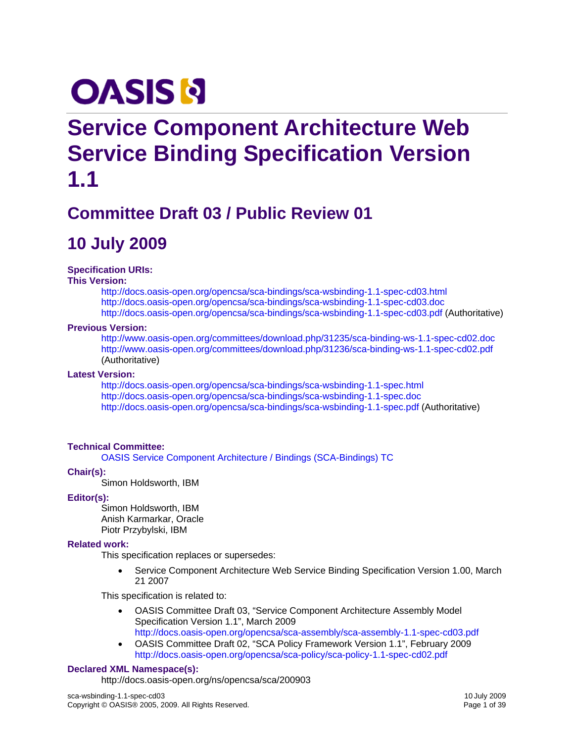# **OASIS N**

# **Service Component Architecture Web Service Binding Specification Version 1.1**

### **Committee Draft 03 / Public Review 01**

### **10 July 2009**

#### **Specification URIs:**

#### **This Version:**

<http://docs.oasis-open.org/opencsa/sca-bindings/sca-wsbinding-1.1-spec-cd03.html> <http://docs.oasis-open.org/opencsa/sca-bindings/sca-wsbinding-1.1-spec-cd03.doc> <http://docs.oasis-open.org/opencsa/sca-bindings/sca-wsbinding-1.1-spec-cd03.pdf> (Authoritative)

#### **Previous Version:**

<http://www.oasis-open.org/committees/download.php/31235/sca-binding-ws-1.1-spec-cd02.doc> <http://www.oasis-open.org/committees/download.php/31236/sca-binding-ws-1.1-spec-cd02.pdf> (Authoritative)

#### **Latest Version:**

<http://docs.oasis-open.org/opencsa/sca-bindings/sca-wsbinding-1.1-spec.html> <http://docs.oasis-open.org/opencsa/sca-bindings/sca-wsbinding-1.1-spec.doc> <http://docs.oasis-open.org/opencsa/sca-bindings/sca-wsbinding-1.1-spec.pdf> (Authoritative)

#### **Technical Committee:**

[OASIS Service Component Architecture / Bindings \(SCA-Bindings\) TC](http://www.oasis-open.org/committees/sca-bindings/)

#### **Chair(s):**

Simon Holdsworth, IBM

#### **Editor(s):**

Simon Holdsworth, IBM Anish Karmarkar, Oracle Piotr Przybylski, IBM

#### **Related work:**

This specification replaces or supersedes:

• Service Component Architecture Web Service Binding Specification Version 1.00, March 21 2007

This specification is related to:

- OASIS Committee Draft 03, "Service Component Architecture Assembly Model Specification Version 1.1", March 2009 <http://docs.oasis-open.org/opencsa/sca-assembly/sca-assembly-1.1-spec-cd03.pdf>
- OASIS Committee Draft 02, "SCA Policy Framework Version 1.1", February 2009 <http://docs.oasis-open.org/opencsa/sca-policy/sca-policy-1.1-spec-cd02.pdf>

#### **Declared XML Namespace(s):**

<http://docs.oasis-open.org/ns/opencsa/sca/200903>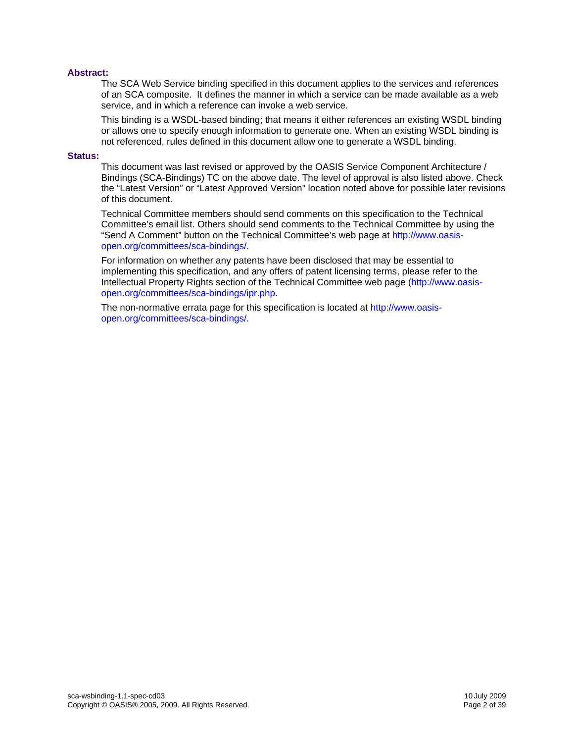#### **Abstract:**

The SCA Web Service binding specified in this document applies to the services and references of an SCA composite. It defines the manner in which a service can be made available as a web service, and in which a reference can invoke a web service.

This binding is a WSDL-based binding; that means it either references an existing WSDL binding or allows one to specify enough information to generate one. When an existing WSDL binding is not referenced, rules defined in this document allow one to generate a WSDL binding.

#### **Status:**

This document was last revised or approved by the OASIS Service Component Architecture / Bindings (SCA-Bindings) TC on the above date. The level of approval is also listed above. Check the "Latest Version" or "Latest Approved Version" location noted above for possible later revisions of this document.

Technical Committee members should send comments on this specification to the Technical Committee's email list. Others should send comments to the Technical Committee by using the "Send A Comment" button on the Technical Committee's web page at [http://www.oasis](http://www.oasis-open.org/committees/sca-bindings/)[open.org/committees/sca-bindings/](http://www.oasis-open.org/committees/sca-bindings/).

For information on whether any patents have been disclosed that may be essential to implementing this specification, and any offers of patent licensing terms, please refer to the Intellectual Property Rights section of the Technical Committee web page ([http://www.oasis](http://www.oasis-open.org/committees/sca-bindings/ipr.php)[open.org/committees/sca-bindings/ipr.php.](http://www.oasis-open.org/committees/sca-bindings/ipr.php)

The non-normative errata page for this specification is located at [http://www.oasis](http://www.oasis-open.org/committees/sca-bindings/)[open.org/committees/sca-bindings/](http://www.oasis-open.org/committees/sca-bindings/).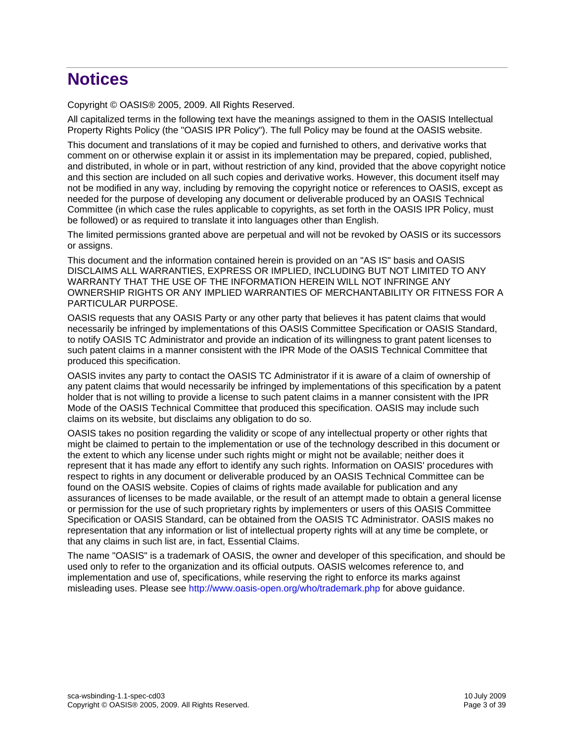### **Notices**

Copyright © OASIS® 2005, 2009. All Rights Reserved.

All capitalized terms in the following text have the meanings assigned to them in the OASIS Intellectual Property Rights Policy (the "OASIS IPR Policy"). The full Policy may be found at the OASIS website.

This document and translations of it may be copied and furnished to others, and derivative works that comment on or otherwise explain it or assist in its implementation may be prepared, copied, published, and distributed, in whole or in part, without restriction of any kind, provided that the above copyright notice and this section are included on all such copies and derivative works. However, this document itself may not be modified in any way, including by removing the copyright notice or references to OASIS, except as needed for the purpose of developing any document or deliverable produced by an OASIS Technical Committee (in which case the rules applicable to copyrights, as set forth in the OASIS IPR Policy, must be followed) or as required to translate it into languages other than English.

The limited permissions granted above are perpetual and will not be revoked by OASIS or its successors or assigns.

This document and the information contained herein is provided on an "AS IS" basis and OASIS DISCLAIMS ALL WARRANTIES, EXPRESS OR IMPLIED, INCLUDING BUT NOT LIMITED TO ANY WARRANTY THAT THE USE OF THE INFORMATION HEREIN WILL NOT INFRINGE ANY OWNERSHIP RIGHTS OR ANY IMPLIED WARRANTIES OF MERCHANTABILITY OR FITNESS FOR A PARTICULAR PURPOSE.

OASIS requests that any OASIS Party or any other party that believes it has patent claims that would necessarily be infringed by implementations of this OASIS Committee Specification or OASIS Standard, to notify OASIS TC Administrator and provide an indication of its willingness to grant patent licenses to such patent claims in a manner consistent with the IPR Mode of the OASIS Technical Committee that produced this specification.

OASIS invites any party to contact the OASIS TC Administrator if it is aware of a claim of ownership of any patent claims that would necessarily be infringed by implementations of this specification by a patent holder that is not willing to provide a license to such patent claims in a manner consistent with the IPR Mode of the OASIS Technical Committee that produced this specification. OASIS may include such claims on its website, but disclaims any obligation to do so.

OASIS takes no position regarding the validity or scope of any intellectual property or other rights that might be claimed to pertain to the implementation or use of the technology described in this document or the extent to which any license under such rights might or might not be available; neither does it represent that it has made any effort to identify any such rights. Information on OASIS' procedures with respect to rights in any document or deliverable produced by an OASIS Technical Committee can be found on the OASIS website. Copies of claims of rights made available for publication and any assurances of licenses to be made available, or the result of an attempt made to obtain a general license or permission for the use of such proprietary rights by implementers or users of this OASIS Committee Specification or OASIS Standard, can be obtained from the OASIS TC Administrator. OASIS makes no representation that any information or list of intellectual property rights will at any time be complete, or that any claims in such list are, in fact, Essential Claims.

The name "OASIS" is a trademark of OASIS, the owner and developer of this specification, and should be used only to refer to the organization and its official outputs. OASIS welcomes reference to, and implementation and use of, specifications, while reserving the right to enforce its marks against misleading uses. Please see <http://www.oasis-open.org/who/trademark.php>for above guidance.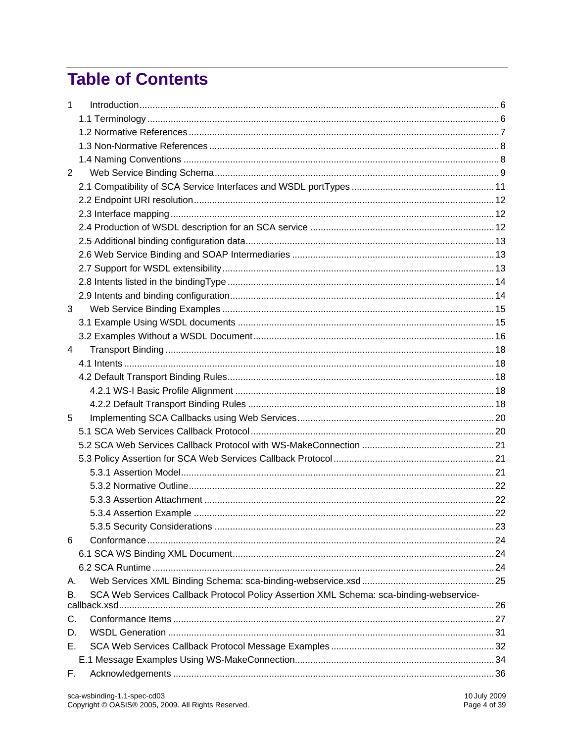# **Table of Contents**

| 1              |                                                                                         |  |
|----------------|-----------------------------------------------------------------------------------------|--|
|                |                                                                                         |  |
|                |                                                                                         |  |
|                |                                                                                         |  |
|                |                                                                                         |  |
| $\overline{2}$ |                                                                                         |  |
|                |                                                                                         |  |
|                |                                                                                         |  |
|                |                                                                                         |  |
|                |                                                                                         |  |
|                |                                                                                         |  |
|                |                                                                                         |  |
|                |                                                                                         |  |
|                |                                                                                         |  |
|                |                                                                                         |  |
| 3              |                                                                                         |  |
|                |                                                                                         |  |
|                |                                                                                         |  |
| 4              |                                                                                         |  |
|                |                                                                                         |  |
|                |                                                                                         |  |
|                |                                                                                         |  |
|                |                                                                                         |  |
| 5              |                                                                                         |  |
|                |                                                                                         |  |
|                |                                                                                         |  |
|                |                                                                                         |  |
|                |                                                                                         |  |
|                |                                                                                         |  |
|                |                                                                                         |  |
|                |                                                                                         |  |
|                |                                                                                         |  |
| 6              |                                                                                         |  |
|                |                                                                                         |  |
|                |                                                                                         |  |
| А.             |                                                                                         |  |
| В.             | SCA Web Services Callback Protocol Policy Assertion XML Schema: sca-binding-webservice- |  |
|                | callback.xsd                                                                            |  |
| C.             |                                                                                         |  |
| D.             |                                                                                         |  |
| Е.             |                                                                                         |  |
|                |                                                                                         |  |
| F.             |                                                                                         |  |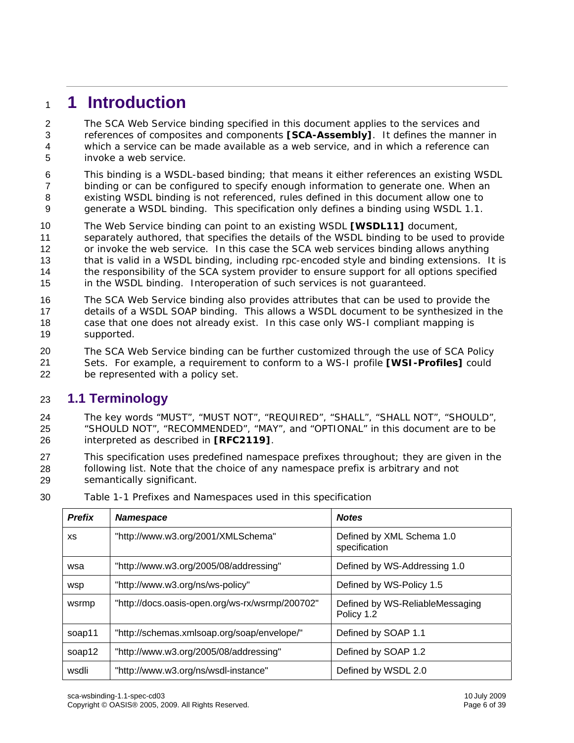### <span id="page-5-0"></span><sup>1</sup>**1 Introduction**

The SCA Web Service binding specified in this document applies to the services and references of composites and components **[\[SCA-Assembly\]](#page-6-1)**. It defines the manner in 2 3 4 5 which a service can be made available as a web service, and in which a reference can invoke a web service.

6 7 8 9 This binding is a WSDL-based binding; that means it either references an existing WSDL binding or can be configured to specify enough information to generate one. When an existing WSDL binding is not referenced, rules defined in this document allow one to generate a WSDL binding. This specification only defines a binding using WSDL 1.1.

10 11 12 13 14 15 The Web Service binding can point to an existing WSDL **[\[WSDL11\]](#page-6-2)** document, separately authored, that specifies the details of the WSDL binding to be used to provide or invoke the web service. In this case the SCA web services binding allows anything that is valid in a WSDL binding, including rpc-encoded style and binding extensions. It is the responsibility of the SCA system provider to ensure support for all options specified in the WSDL binding. Interoperation of such services is not guaranteed.

16 17 18 19 The SCA Web Service binding also provides attributes that can be used to provide the details of a WSDL SOAP binding. This allows a WSDL document to be synthesized in the case that one does not already exist. In this case only WS-I compliant mapping is supported.

20 21 22 The SCA Web Service binding can be further customized through the use of SCA Policy Sets. For example, a requirement to conform to a WS-I profile **[\[WSI-Profiles\]](#page-6-3)** could be represented with a policy set.

#### 23 **1.1 Terminology**

24 25 26 The key words "MUST", "MUST NOT", "REQUIRED", "SHALL", "SHALL NOT", "SHOULD", "SHOULD NOT", "RECOMMENDED", "MAY", and "OPTIONAL" in this document are to be interpreted as described in **[\[RFC2119\]](#page-6-4)**.

27 28 29 This specification uses predefined namespace prefixes throughout; they are given in the following list. Note that the choice of any namespace prefix is arbitrary and not semantically significant.

| <b>Prefix</b> | <b>Namespace</b>                                | <b>Notes</b>                                  |
|---------------|-------------------------------------------------|-----------------------------------------------|
| XS            | "http://www.w3.org/2001/XMLSchema"              | Defined by XML Schema 1.0<br>specification    |
| wsa           | "http://www.w3.org/2005/08/addressing"          | Defined by WS-Addressing 1.0                  |
| wsp           | "http://www.w3.org/ns/ws-policy"                | Defined by WS-Policy 1.5                      |
| wsrmp         | "http://docs.oasis-open.org/ws-rx/wsrmp/200702" | Defined by WS-ReliableMessaging<br>Policy 1.2 |
| soap11        | "http://schemas.xmlsoap.org/soap/envelope/"     | Defined by SOAP 1.1                           |
| soap12        | "http://www.w3.org/2005/08/addressing"          | Defined by SOAP 1.2                           |
| wsdli         | "http://www.w3.org/ns/wsdl-instance"            | Defined by WSDL 2.0                           |

30 Table 1-1 Prefixes and Namespaces used in this specification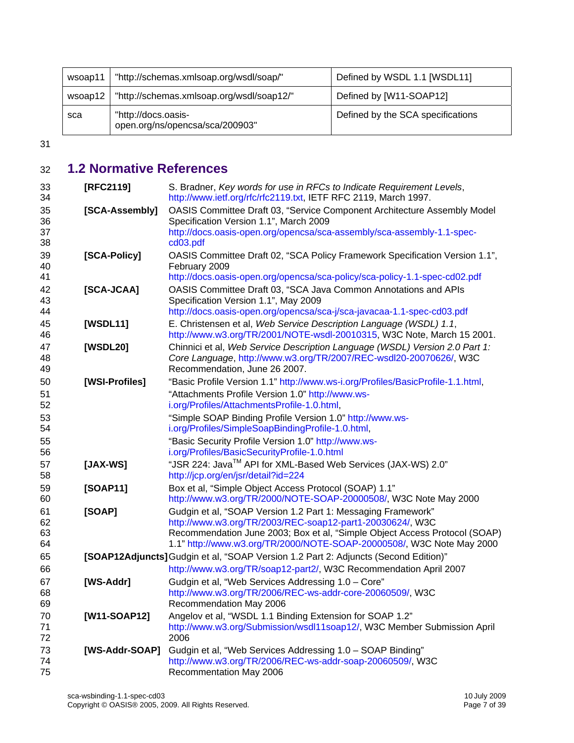<span id="page-6-0"></span>

| wsoap11       | "http://schemas.xmlsoap.org/wsdl/soap/"                | Defined by WSDL 1.1 [WSDL11]      |
|---------------|--------------------------------------------------------|-----------------------------------|
| $ws \cdot 12$ | "http://schemas.xmlsoap.org/wsdl/soap12/"              | Defined by [W11-SOAP12]           |
| sca           | "http://docs.oasis-<br>open.org/ns/opencsa/sca/200903" | Defined by the SCA specifications |

31

### 32 **1.2 Normative References**

<span id="page-6-14"></span><span id="page-6-13"></span><span id="page-6-12"></span><span id="page-6-11"></span><span id="page-6-10"></span><span id="page-6-9"></span><span id="page-6-8"></span><span id="page-6-7"></span><span id="page-6-6"></span><span id="page-6-5"></span><span id="page-6-4"></span><span id="page-6-3"></span><span id="page-6-2"></span><span id="page-6-1"></span>

| 33<br>34 | [RFC2119]      | S. Bradner, Key words for use in RFCs to Indicate Requirement Levels,<br>http://www.ietf.org/rfc/rfc2119.txt, IETF RFC 2119, March 1997. |
|----------|----------------|------------------------------------------------------------------------------------------------------------------------------------------|
| 35<br>36 | [SCA-Assembly] | <b>OASIS Committee Draft 03, "Service Component Architecture Assembly Model</b><br>Specification Version 1.1", March 2009                |
| 37       |                | http://docs.oasis-open.org/opencsa/sca-assembly/sca-assembly-1.1-spec-                                                                   |
| 38       |                | cd03.pdf                                                                                                                                 |
| 39       | [SCA-Policy]   | OASIS Committee Draft 02, "SCA Policy Framework Specification Version 1.1",                                                              |
| 40<br>41 |                | February 2009<br>http://docs.oasis-open.org/opencsa/sca-policy/sca-policy-1.1-spec-cd02.pdf                                              |
| 42       | [SCA-JCAA]     | OASIS Committee Draft 03, "SCA Java Common Annotations and APIs                                                                          |
| 43       |                | Specification Version 1.1", May 2009                                                                                                     |
| 44       |                | http://docs.oasis-open.org/opencsa/sca-j/sca-javacaa-1.1-spec-cd03.pdf                                                                   |
| 45       | [WSDL11]       | E. Christensen et al, Web Service Description Language (WSDL) 1.1,                                                                       |
| 46       |                | http://www.w3.org/TR/2001/NOTE-wsdl-20010315, W3C Note, March 15 2001.                                                                   |
| 47       | [WSDL20]       | Chinnici et al, Web Service Description Language (WSDL) Version 2.0 Part 1:                                                              |
| 48       |                | Core Language, http://www.w3.org/TR/2007/REC-wsdl20-20070626/, W3C                                                                       |
| 49       |                | Recommendation, June 26 2007.                                                                                                            |
| 50       | [WSI-Profiles] | "Basic Profile Version 1.1" http://www.ws-i.org/Profiles/BasicProfile-1.1.html,                                                          |
| 51       |                | "Attachments Profile Version 1.0" http://www.ws-                                                                                         |
| 52       |                | i.org/Profiles/AttachmentsProfile-1.0.html,                                                                                              |
| 53       |                | "Simple SOAP Binding Profile Version 1.0" http://www.ws-                                                                                 |
| 54       |                | i.org/Profiles/SimpleSoapBindingProfile-1.0.html,                                                                                        |
| 55       |                | "Basic Security Profile Version 1.0" http://www.ws-                                                                                      |
| 56       |                | i.org/Profiles/BasicSecurityProfile-1.0.html                                                                                             |
| 57<br>58 | [JAX-WS]       | "JSR 224: Java <sup>TM</sup> API for XML-Based Web Services (JAX-WS) 2.0"<br>http://jcp.org/en/jsr/detail?id=224                         |
| 59       | [SOAP11]       | Box et al, "Simple Object Access Protocol (SOAP) 1.1"                                                                                    |
| 60       |                | http://www.w3.org/TR/2000/NOTE-SOAP-20000508/, W3C Note May 2000                                                                         |
| 61       | [SOAP]         | Gudgin et al, "SOAP Version 1.2 Part 1: Messaging Framework"                                                                             |
| 62       |                | http://www.w3.org/TR/2003/REC-soap12-part1-20030624/, W3C                                                                                |
| 63       |                | Recommendation June 2003; Box et al, "Simple Object Access Protocol (SOAP)                                                               |
| 64       |                | 1.1" http://www.w3.org/TR/2000/NOTE-SOAP-20000508/, W3C Note May 2000                                                                    |
| 65       |                | [SOAP12Adjuncts] Gudgin et al, "SOAP Version 1.2 Part 2: Adjuncts (Second Edition)"                                                      |
| 66       |                | http://www.w3.org/TR/soap12-part2/, W3C Recommendation April 2007                                                                        |
| 67       | [WS-Addr]      | Gudgin et al, "Web Services Addressing 1.0 - Core"                                                                                       |
| 68<br>69 |                | http://www.w3.org/TR/2006/REC-ws-addr-core-20060509/, W3C<br>Recommendation May 2006                                                     |
| 70       | [W11-SOAP12]   | Angelov et al, "WSDL 1.1 Binding Extension for SOAP 1.2"                                                                                 |
| 71       |                | http://www.w3.org/Submission/wsdl11soap12/, W3C Member Submission April                                                                  |
| 72       |                | 2006                                                                                                                                     |
| 73       | [WS-Addr-SOAP] | Gudgin et al, "Web Services Addressing 1.0 - SOAP Binding"                                                                               |
| 74       |                | http://www.w3.org/TR/2006/REC-ws-addr-soap-20060509/, W3C                                                                                |
| 75       |                | Recommentation May 2006                                                                                                                  |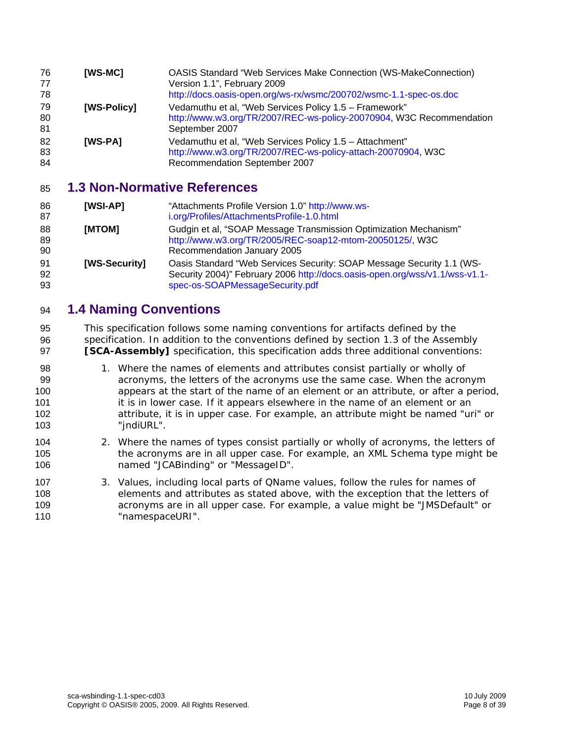<span id="page-7-4"></span><span id="page-7-3"></span><span id="page-7-0"></span>

| 76<br>77<br>78 | [WS-MC]        | OASIS Standard "Web Services Make Connection (WS-MakeConnection)<br>Version 1.1", February 2009<br>http://docs.oasis-open.org/ws-rx/wsmc/200702/wsmc-1.1-spec-os.doc |
|----------------|----------------|----------------------------------------------------------------------------------------------------------------------------------------------------------------------|
| 79<br>80<br>81 | [WS-Policy]    | Vedamuthu et al, "Web Services Policy 1.5 - Framework"<br>http://www.w3.org/TR/2007/REC-ws-policy-20070904, W3C Recommendation<br>September 2007                     |
| 82<br>83<br>84 | <b>IWS-PA1</b> | Vedamuthu et al, "Web Services Policy 1.5 - Attachment"<br>http://www.w3.org/TR/2007/REC-ws-policy-attach-20070904, W3C<br>Recommendation September 2007             |

#### <span id="page-7-5"></span>85 **1.3 Non-Normative References**

<span id="page-7-2"></span><span id="page-7-1"></span>

| 86<br>87       | <b>IWSI-API</b> | "Attachments Profile Version 1.0" http://www.ws-<br>i.org/Profiles/AttachmentsProfile-1.0.html                                                                                          |
|----------------|-----------------|-----------------------------------------------------------------------------------------------------------------------------------------------------------------------------------------|
| 88<br>89<br>90 | [MTOM]          | Gudgin et al, "SOAP Message Transmission Optimization Mechanism"<br>http://www.w3.org/TR/2005/REC-soap12-mtom-20050125/, W3C<br>Recommendation January 2005                             |
| 91<br>92<br>93 | [WS-Security]   | Oasis Standard "Web Services Security: SOAP Message Security 1.1 (WS-<br>Security 2004)" February 2006 http://docs.oasis-open.org/wss/v1.1/wss-v1.1-<br>spec-os-SOAPMessageSecurity.pdf |

### <span id="page-7-6"></span>94 **1.4 Naming Conventions**

95 96 97 This specification follows some naming conventions for artifacts defined by the specification. In addition to the conventions defined by section 1.3 of the Assembly **[\[SCA-Assembly\]](#page-6-1)** specification, this specification adds three additional conventions:

- 98 99 100 101 102 103 1. Where the names of elements and attributes consist partially or wholly of acronyms, the letters of the acronyms use the same case. When the acronym appears at the start of the name of an element or an attribute, or after a period, it is in lower case. If it appears elsewhere in the name of an element or an attribute, it is in upper case. For example, an attribute might be named "uri" or "jndiURL".
- 104 105 106 2. Where the names of types consist partially or wholly of acronyms, the letters of the acronyms are in all upper case. For example, an XML Schema type might be named "JCABinding" or "MessageID".
- 107 108 109 110 3. Values, including local parts of QName values, follow the rules for names of elements and attributes as stated above, with the exception that the letters of acronyms are in all upper case. For example, a value might be "JMSDefault" or "namespaceURI".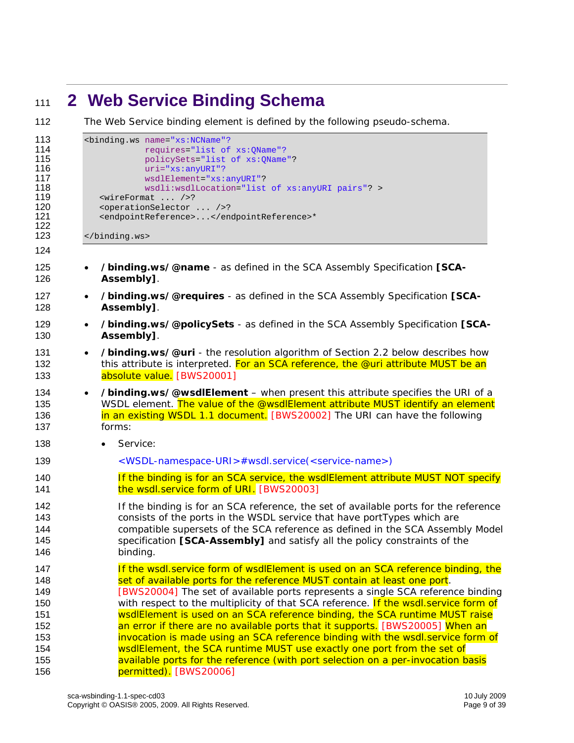### <span id="page-8-0"></span><sup>111</sup>**2 Web Service Binding Schema**

<span id="page-8-6"></span><span id="page-8-5"></span><span id="page-8-4"></span><span id="page-8-3"></span><span id="page-8-2"></span><span id="page-8-1"></span>112 The Web Service binding element is defined by the following pseudo-schema. 113 <br />
chinding.ws name="xs:NCName"?<br>
114 requires="list of 114 requires="list of xs:QName"?<br>115 policySets="list of xs:OName"? 115 policySets="list of xs:QName"?<br>116 https://www.uri="xs:anvURI"? 116 uri="xs:anyURI"?<br>117 wsdlElement="xs: wsdlElement="xs:anyURI"? 118 wsdli:wsdlLocation="list of xs:anyURI pairs"? > 119 <wireFormat ... />? 120 <operationSelector ... />?<br>121 <endpointReference>...</en 121 <endpointReference>...</endpointReference>\* 122 </binding.ws> 124 125 126 127 128 129 130 131 • */binding.ws/@name* - as defined in the SCA Assembly Specification **[\[SCA-](#page-6-1)[Assembly\]](#page-6-1)**. • */binding.ws/@requires* - as defined in the SCA Assembly Specification **[\[SCA-](#page-6-1)[Assembly\]](#page-6-1)**. • */binding.ws/@policySets* - as defined in the SCA Assembly Specification **[\[SCA-](#page-6-1)[Assembly\]](#page-6-1)**. • */binding.ws/@uri* - the resolution algorithm of Section 2.2 below describes how 132 this attribute is interpreted. For an SCA reference, the @uri attribute MUST be an 133 **[absolute value.](#page-26-1)** [BWS20001] 134 • */binding.ws/@wsdlElement* – when present this attribute specifies the URI of a 135 WSDL element. The value of the @wsdlElement attribute MUST identify an element [in an existing WSDL 1.1 document.](#page-26-2) [BWS20002] The URI can have the following forms: 136 137 138 139 Service: <WSDL-namespace-URI>#wsdl.service(<service-name>) 140 [If the binding is for an SCA service, the](#page-26-3) *wsdlElement* attribute MUST NOT specify 141 the *wsdl.service* [form of URI.](#page-26-3) [BWS20003] 142 143 144 145 146 If the binding is for an SCA reference, the set of available ports for the reference consists of the ports in the WSDL service that have portTypes which are compatible supersets of the SCA reference as defined in the SCA Assembly Model specification **[\[SCA-Assembly\]](#page-6-1)** and satisfy all the policy constraints of the binding. 147 If the *wsdl.service* form of *wsdlElement* [is used on an SCA reference binding, the](#page-26-4)  [set of available ports for the reference MUST contain at least one port.](#page-26-4) [BWS20004] The set of available ports represents a single SCA reference binding 148 149 150 with respect to the multiplicity of that SCA reference. If the *[wsdl.service](#page-26-5)* form of 151 *wsdlElement* [is used on an SCA reference binding, the SCA runtime MUST raise](#page-26-5)  152 **[an error if there are no available ports that it supports.](#page-26-5)** [BWS20005] **When an** 153 [invocation is made using an SCA reference binding with the](#page-26-6) *wsdl.service* form of 154 *wsdlElement*[, the SCA runtime MUST use exactly one port from the set of](#page-26-6)  155 **available ports for the reference (with port selection on a per-invocation basis** 156 **permitted**). [BWS20006]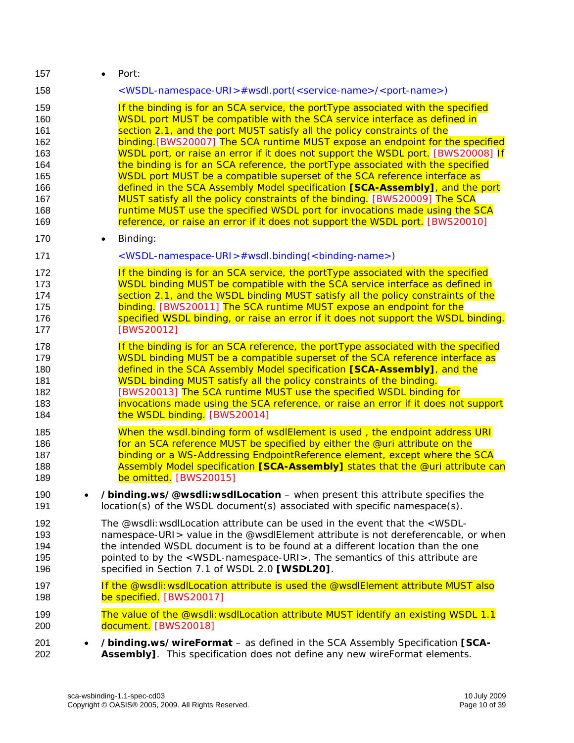<span id="page-9-10"></span><span id="page-9-9"></span><span id="page-9-8"></span><span id="page-9-7"></span><span id="page-9-6"></span><span id="page-9-5"></span><span id="page-9-4"></span><span id="page-9-3"></span><span id="page-9-2"></span><span id="page-9-1"></span><span id="page-9-0"></span>

| 157                                                                       | $\bullet$ | Port:                                                                                                                                                                                                                                                                                                                                                                                                                                                                                                                                                                                                                                                                                                                                                                                                                                                                                                        |
|---------------------------------------------------------------------------|-----------|--------------------------------------------------------------------------------------------------------------------------------------------------------------------------------------------------------------------------------------------------------------------------------------------------------------------------------------------------------------------------------------------------------------------------------------------------------------------------------------------------------------------------------------------------------------------------------------------------------------------------------------------------------------------------------------------------------------------------------------------------------------------------------------------------------------------------------------------------------------------------------------------------------------|
| 158                                                                       |           | <wsdl-namespace-uri>#wsdl.port(<service-name>/<port-name>)</port-name></service-name></wsdl-namespace-uri>                                                                                                                                                                                                                                                                                                                                                                                                                                                                                                                                                                                                                                                                                                                                                                                                   |
| 159<br>160<br>161<br>162<br>163<br>164<br>165<br>166<br>167<br>168<br>169 |           | If the binding is for an SCA service, the portType associated with the specified<br>WSDL port MUST be compatible with the SCA service interface as defined in<br>section 2.1, and the port MUST satisfy all the policy constraints of the<br>binding. [BWS20007] The SCA runtime MUST expose an endpoint for the specified<br>WSDL port, or raise an error if it does not support the WSDL port. [BWS20008] If<br>the binding is for an SCA reference, the portType associated with the specified<br>WSDL port MUST be a compatible superset of the SCA reference interface as<br>defined in the SCA Assembly Model specification [SCA-Assembly], and the port<br>MUST satisfy all the policy constraints of the binding. [BWS20009] The SCA<br>runtime MUST use the specified WSDL port for invocations made using the SCA<br>reference, or raise an error if it does not support the WSDL port. [BWS20010] |
| 170                                                                       | $\bullet$ | Binding:                                                                                                                                                                                                                                                                                                                                                                                                                                                                                                                                                                                                                                                                                                                                                                                                                                                                                                     |
| 171                                                                       |           | <wsdl-namespace-uri>#wsdl.binding(<binding-name>)</binding-name></wsdl-namespace-uri>                                                                                                                                                                                                                                                                                                                                                                                                                                                                                                                                                                                                                                                                                                                                                                                                                        |
| 172<br>173<br>174<br>175<br>176<br>177                                    |           | If the binding is for an SCA service, the portType associated with the specified<br>WSDL binding MUST be compatible with the SCA service interface as defined in<br>section 2.1, and the WSDL binding MUST satisfy all the policy constraints of the<br>binding. [BWS20011] The SCA runtime MUST expose an endpoint for the<br>specified WSDL binding, or raise an error if it does not support the WSDL binding.<br>[BWS20012]                                                                                                                                                                                                                                                                                                                                                                                                                                                                              |
| 178<br>179<br>180<br>181<br>182<br>183<br>184                             |           | If the binding is for an SCA reference, the portType associated with the specified<br>WSDL binding MUST be a compatible superset of the SCA reference interface as<br>defined in the SCA Assembly Model specification [SCA-Assembly], and the<br>WSDL binding MUST satisfy all the policy constraints of the binding.<br>[BWS20013] The SCA runtime MUST use the specified WSDL binding for<br>invocations made using the SCA reference, or raise an error if it does not support<br>the WSDL binding. [BWS20014]                                                                                                                                                                                                                                                                                                                                                                                            |
| 185<br>186<br>187<br>188<br>189                                           |           | When the wsdl. binding form of wsdlElement is used, the endpoint address URI<br>for an SCA reference MUST be specified by either the @uri attribute on the<br>binding or a WS-Addressing <i>EndpointReference</i> element, except where the SCA<br>Assembly Model specification [SCA-Assembly] states that the @uri attribute can<br>be omitted. [BWS20015]                                                                                                                                                                                                                                                                                                                                                                                                                                                                                                                                                  |
| 190<br>191                                                                |           | /binding.ws/@wsdli:wsdlLocation - when present this attribute specifies the<br>$location(s)$ of the WSDL document(s) associated with specific namespace(s).                                                                                                                                                                                                                                                                                                                                                                                                                                                                                                                                                                                                                                                                                                                                                  |
| 192<br>193<br>194<br>195<br>196                                           |           | The @wsdli: wsdlLocation attribute can be used in the event that the <wsdl-<br>namespace-URI &gt; value in the @wsdlElement attribute is not dereferencable, or when<br/>the intended WSDL document is to be found at a different location than the one<br/>pointed to by the <wsdl-namespace-uri>. The semantics of this attribute are<br/>specified in Section 7.1 of WSDL 2.0 [WSDL20].</wsdl-namespace-uri></wsdl-<br>                                                                                                                                                                                                                                                                                                                                                                                                                                                                                   |
| 197<br>198                                                                |           | If the @wsdli: wsdlLocation attribute is used the @wsdlElement attribute MUST also<br>be specified. [BWS20017]                                                                                                                                                                                                                                                                                                                                                                                                                                                                                                                                                                                                                                                                                                                                                                                               |
| 199<br>200                                                                |           | The value of the @wsdli: wsdlLocation attribute MUST identify an existing WSDL 1.1<br>document. [BWS20018]                                                                                                                                                                                                                                                                                                                                                                                                                                                                                                                                                                                                                                                                                                                                                                                                   |
| 201<br>$\bullet$<br>202                                                   |           | /binding.ws/wireFormat - as defined in the SCA Assembly Specification [SCA-<br>Assembly]. This specification does not define any new wireFormat elements.                                                                                                                                                                                                                                                                                                                                                                                                                                                                                                                                                                                                                                                                                                                                                    |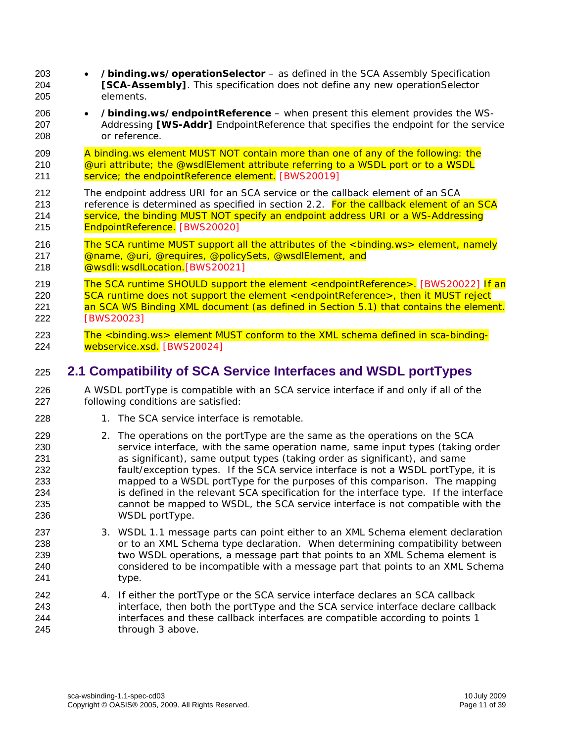- <span id="page-10-0"></span>203 204 205 • */binding.ws/operationSelector* – as defined in the SCA Assembly Specification **[\[SCA-Assembly\]](#page-6-1)**. This specification does not define any new operationSelector elements.
- 206 207 208 • */binding.ws/endpointReference* – when present this element provides the WS-Addressing **[\[WS-Addr\]](#page-6-6)** EndpointReference that specifies the endpoint for the service or reference.
- 209 [A binding.ws element MUST NOT contain more than one of any of the following: the](#page-27-4)  210 **@uri attribute; the @wsdlElement attribute referring to a WSDL port or to a WSDL** 211 [service; the endpointReference element.](#page-27-4) [BWS20019]
- <span id="page-10-1"></span>212 The endpoint address URI for an SCA service or the callback element of an SCA 213 reference is determined as specified in section 2.2. For the *callback* [element of an SCA](#page-27-5)  214 service, the binding MUST NOT specify an endpoint address URI or a WS-Addressing 215 [EndpointReference.](#page-27-5) [BWS20020]
- <span id="page-10-2"></span>216 The SCA runtime MUST support all the attributes of the <br/>binding.ws> element, namely 217 @name, @uri, @requires, @policySets, @wsdlElement, and 218 **@wsdli: wsdlLocation.** [BWS20021]
- <span id="page-10-4"></span><span id="page-10-3"></span>219 [The SCA runtime SHOULD support the element <endpointReference>.](#page-27-7) [BWS20022] If an 220 SCA runtime does not support the element <endpointReference>, then it MUST reject [an SCA WS Binding XML document \(as defined in Section 5.1\) that contains the element.](#page-27-8) 221
- <span id="page-10-5"></span>[BWS20023] 222
- <span id="page-10-6"></span>223 [The <binding.ws> element MUST conform to the XML schema defined in sca-binding-](#page-27-9)224 [webservice.xsd.](#page-27-9) [BWS20024]

#### 225 **2.1 Compatibility of SCA Service Interfaces and WSDL portTypes**

- 226 227 A WSDL portType is compatible with an SCA service interface if and only if all of the following conditions are satisfied:
- 228 1. The SCA service interface is remotable.
- 229 230 231 232 233 234 235 236 2. The operations on the portType are the same as the operations on the SCA service interface, with the same operation name, same input types (taking order as significant), same output types (taking order as significant), and same fault/exception types. If the SCA service interface is not a WSDL portType, it is mapped to a WSDL portType for the purposes of this comparison. The mapping is defined in the relevant SCA specification for the interface type. If the interface cannot be mapped to WSDL, the SCA service interface is not compatible with the WSDL portType.
- 237 238 239 240 241 3. WSDL 1.1 message parts can point either to an XML Schema element declaration or to an XML Schema type declaration. When determining compatibility between two WSDL operations, a message part that points to an XML Schema element is considered to be incompatible with a message part that points to an XML Schema type.
- 242 243 244 245 4. If either the portType or the SCA service interface declares an SCA callback interface, then both the portType and the SCA service interface declare callback interfaces and these callback interfaces are compatible according to points 1 through 3 above.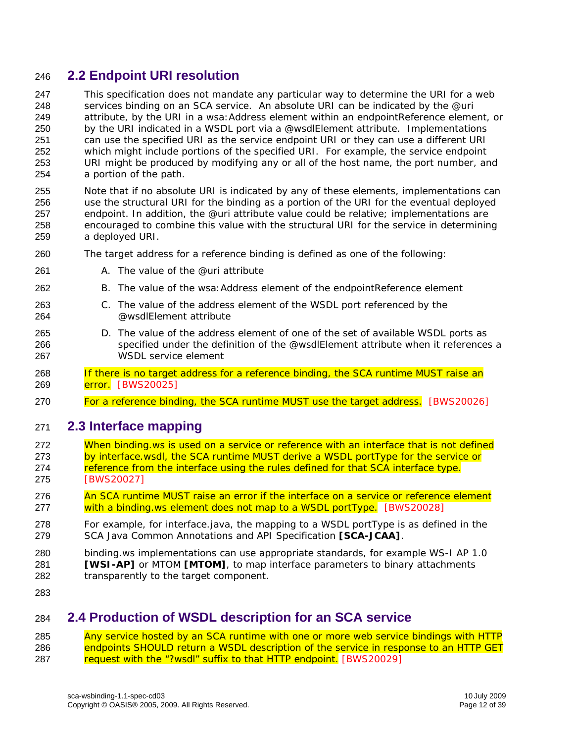#### <span id="page-11-0"></span>246 **2.2 Endpoint URI resolution**

247 248 249 250 251 252 253 254 This specification does not mandate any particular way to determine the URI for a web services binding on an SCA service. An absolute URI can be indicated by the @uri attribute, by the URI in a wsa:Address element within an endpointReference element, or by the URI indicated in a WSDL port via a @wsdlElement attribute. Implementations can use the specified URI as the service endpoint URI or they can use a different URI which might include portions of the specified URI. For example, the service endpoint URI might be produced by modifying any or all of the host name, the port number, and a portion of the path.

255 256 257 258 259 Note that if no absolute URI is indicated by any of these elements, implementations can use the structural URI for the binding as a portion of the URI for the eventual deployed endpoint. In addition, the @uri attribute value could be relative; implementations are encouraged to combine this value with the structural URI for the service in determining a deployed URI.

- 260 The target address for a reference binding is defined as one of the following:
- 261 A. The value of the @uri attribute
- 262 B. The value of the wsa:Address element of the endpointReference element

#### 263 264 C. The value of the address element of the WSDL port referenced by the @wsdlElement attribute

- 265 266 267 D. The value of the address element of one of the set of available WSDL ports as specified under the definition of the @wsdlElement attribute when it references a WSDL service element
- <span id="page-11-1"></span>268 If there is no target address for a reference binding, the SCA runtime MUST raise an 269 [error.](#page-27-10) [BWS20025]
- <span id="page-11-2"></span>270 [For a reference binding, the SCA runtime MUST use the target address.](#page-27-11) [BWS20026]

#### 271 **2.3 Interface mapping**

- 272 When *binding.ws* [is used on a service or reference with an interface that is not defined](#page-27-12)  273 by *interface.wsdl*[, the SCA runtime MUST derive a WSDL portType for the service or](#page-27-12)  [reference from the interface using the rules defined for that SCA interface type.](#page-27-12) [BWS20027] 274 275
- <span id="page-11-4"></span><span id="page-11-3"></span>276 An SCA runtime MUST raise an error if the interface on a service or reference element 277 with a binding ws element does not map to a WSDL portType. [BWS20028]
- 278 279 For example, for *interface.java*, the mapping to a WSDL portType is as defined in the SCA Java Common Annotations and API Specification **[\[SCA-JCAA\]](#page-6-7)**.
- 280 281 282 *binding.ws* implementations can use appropriate standards, for example WS-I AP 1.0 **[\[WSI-AP\]](#page-7-1)** or MTOM **[\[MTOM\]](#page-7-2)**, to map interface parameters to binary attachments transparently to the target component.
- 283

#### 284 **2.4 Production of WSDL description for an SCA service**

<span id="page-11-5"></span>285 [Any service hosted by an SCA runtime with one or more web service bindings with HTTP](#page-27-14)  286 endpoints SHOULD return a WSDL description of the service in response to an HTTP GET 287 [request with the "?wsdl" suffix to that HTTP endpoint.](#page-27-14) [BWS20029]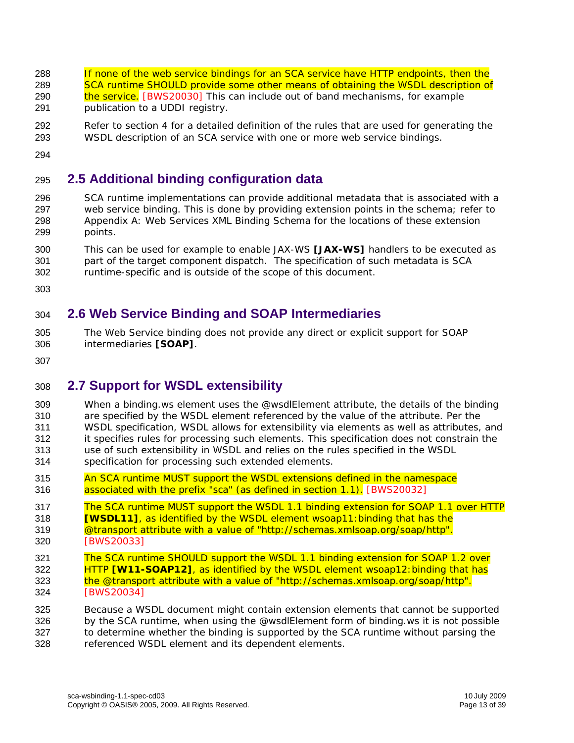<span id="page-12-1"></span>

<span id="page-12-0"></span>288 If none of the web service bindings for an SCA service have HTTP endpoints, then the 289 SCA runtime SHOULD provide some other means of obtaining the WSDL description of [the service.](#page-27-15) [BWS20030] This can include out of band mechanisms, for example publication to a UDDI registry. 290 291

- 292 293 Refer to section [4](#page-17-1) for a detailed definition of the rules that are used for generating the WSDL description of an SCA service with one or more web service bindings.
- 294

### 295 **2.5 Additional binding configuration data**

- 296 297 298 299 SCA runtime implementations can provide additional metadata that is associated with a web service binding. This is done by providing extension points in the schema; refer to Appendix A: Web Services XML Binding Schema for the locations of these extension points.
- 300 301 302 This can be used for example to enable JAX-WS **[\[JAX-WS\]](#page-6-8)** handlers to be executed as part of the target component dispatch. The specification of such metadata is SCA runtime-specific and is outside of the scope of this document.
- 303

### 304 **2.6 Web Service Binding and SOAP Intermediaries**

- 305 306 The Web Service binding does not provide any direct or explicit support for SOAP intermediaries **[\[SOAP\]](#page-6-9)**.
- 307

#### 308 **2.7 Support for WSDL extensibility**

- 309 310 311 312 313 314 When a binding.ws element uses the @wsdlElement attribute, the details of the binding are specified by the WSDL element referenced by the value of the attribute. Per the WSDL specification, WSDL allows for extensibility via elements as well as attributes, and it specifies rules for processing such elements. This specification does not constrain the use of such extensibility in WSDL and relies on the rules specified in the WSDL specification for processing such extended elements.
- <span id="page-12-2"></span>315 [An SCA runtime MUST support the WSDL extensions defined in the namespace](#page-27-16)  316 [associated with the prefix "sca" \(as defined in section 1.1\).](#page-27-16) [BWS20032]
- 317 [The SCA runtime MUST support the WSDL 1.1 binding extension for SOAP 1.1 over HTTP](#page-28-0)  318 **[WSDL11]**[, as identified by the WSDL element wsoap11:binding that has the](#page-28-0)  [@transport attribute with a value of "http://schemas.xmlsoap.org/soap/http".](#page-28-0) [BWS20033] 319 320
- <span id="page-12-3"></span>321 [The SCA runtime SHOULD support the WSDL 1.1 binding extension for SOAP 1.2 over](#page-28-1)  322 HTTP **[W11-SOAP12]**[, as identified by the WSDL element wsoap12:binding that has](#page-28-1)  [the @transport attribute with a value of "http://schemas.xmlsoap.org/soap/http".](#page-28-1) [BWS20034] 323 324
- <span id="page-12-4"></span>325 326 327 328 Because a WSDL document might contain extension elements that cannot be supported by the SCA runtime, when using the @wsdlElement form of binding.ws it is not possible to determine whether the binding is supported by the SCA runtime without parsing the referenced WSDL element and its dependent elements.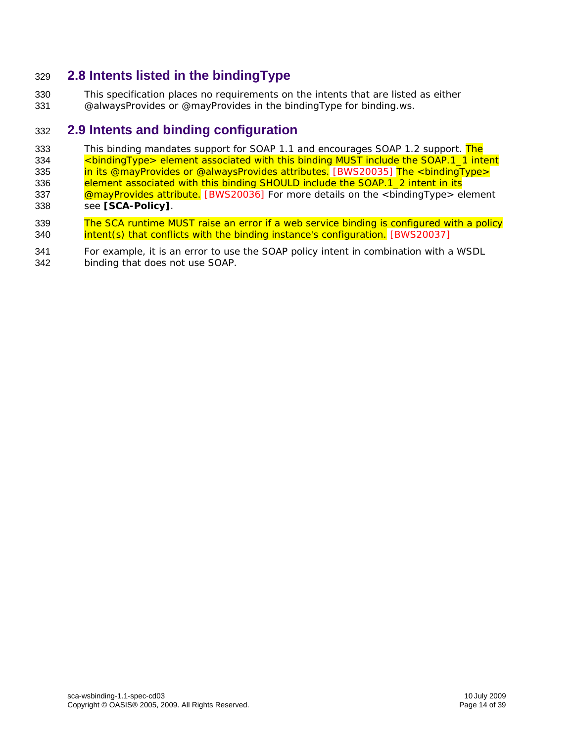#### <span id="page-13-0"></span>329 **2.8 Intents listed in the bindingType**

330 331 This specification places no requirements on the intents that are listed as either *@alwaysProvides* or *@mayProvides* in the bindingType for *binding.ws*.

#### 332 **2.9 Intents and binding configuration**

- 333 This binding mandates support for SOAP 1.1 and encourages SOAP 1.2 support. The
- 334 [<bindingType> element associated with this binding MUST include the SOAP.1\\_1 intent](#page-28-2)
- <span id="page-13-1"></span>335 [in its @mayProvides or @alwaysProvides attributes.](#page-28-2) [BWS20035] The <bindingType> 336 element associated with this binding SHOULD include the SOAP.1\_2 intent in its
- <span id="page-13-2"></span>[@mayProvides attribute.](#page-28-3) [BWS20036] For more details on the <bindingType> element 337
- see 338 **[\[SCA-Policy\]](#page-6-10)**.
- <span id="page-13-3"></span>339 The SCA runtime MUST raise an error if a web service binding is configured with a policy 340 [intent\(s\) that conflicts with the binding instance's configuration.](#page-28-4) [BWS20037]
- 341 For example, it is an error to use the SOAP policy intent in combination with a WSDL
- 342 binding that does not use SOAP.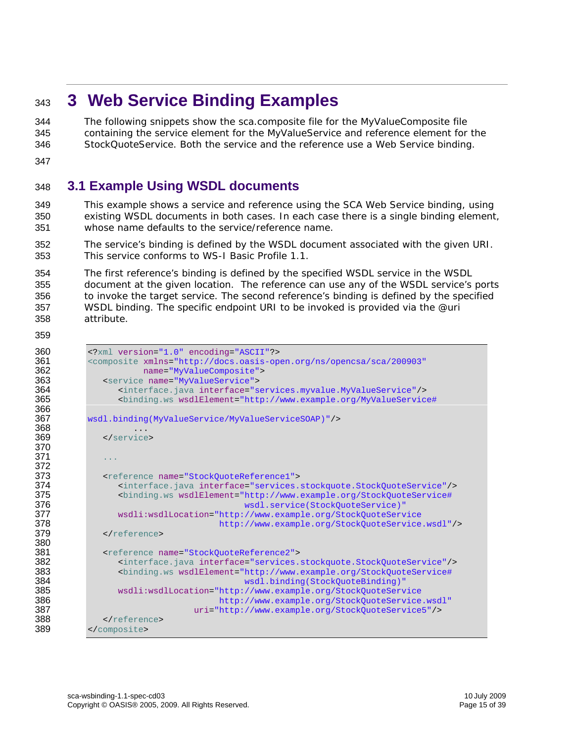### <span id="page-14-0"></span><sup>343</sup>**3 Web Service Binding Examples**

The following snippets show the sca.composite file for the MyValueComposite file containing the service element for the MyValueService and reference element for the StockQuoteService. Both the service and the reference use a Web Service binding. 344 345 346

347

### 348 **3.1 Example Using WSDL documents**

349 350 351 This example shows a service and reference using the SCA Web Service binding, using existing WSDL documents in both cases. In each case there is a single binding element, whose name defaults to the service/reference name.

352 353 The service's binding is defined by the WSDL document associated with the given URI. This service conforms to WS-I Basic Profile 1.1.

354 355 356 357 358 The first reference's binding is defined by the specified WSDL service in the WSDL document at the given location. The reference can use any of the WSDL service's ports to invoke the target service. The second reference's binding is defined by the specified WSDL binding. The specific endpoint URI to be invoked is provided via the *@uri* attribute.

359

366

370

372

380<br>381

```
360 <?xml version="1.0" encoding="ASCII"?><br>361 <composite xmlns="http://docs.oasis-op
361 <composite xmlns="http://docs.oasis-open.org/ns/opencsa/sca/200903" 
362 name="MyValueComposite"><br>363 <service name="MyValueService">
363 <service name="MyValueService"><br>364 <interface.java interface="s
364 <interface.java interface="services.myvalue.MyValueService"/><br>365 <br/>>>> <binding.ws wsdlElement="http://www.example.org/MyValueServic
                  365 <binding.ws wsdlElement="http://www.example.org/MyValueService# 
           wsdl.binding(MyValueService/MyValueServiceSOAP)"/>
368 ...<br>369 </service
               </service>
371 ...
373 <reference name="StockQuoteReference1"><br>374 <interface.java_interface="services.
374 <interface.java interface="services.stockquote.StockQuoteService"/><br>375 > <br/>>>>> <br/>>binding.ws wsdlElement="http://www.example.org/StockQuoteService#
375 <binding.ws wsdlElement="http://www.example.org/StockQuoteService# 
                                              wsdl.service(StockQuoteService)'
377 wsdli:wsdlLocation="http://www.example.org/StockQuoteService 
378 http://www.example.org/StockQuoteService.wsdl"/><br>379 </reference>
               379 </reference> 
381 <reference name="StockQuoteReference2"><br>382 <interface.java interface="services.
382 <interface.java interface="services.stockquote.StockQuoteService"/> 
383 b chinding.ws wsdlElement="http://www.example.org/StockQuoteService#<br>384 wsdl.binding(StockQuoteBinding)"
384 wsdl.binding(StockQuoteBinding)" 
385 wsdli:wsdlLocation="http://www.example.org/StockQuoteService 
386 http://www.example.org/StockQuoteService.wsdl"
387 uri="http://www.example.org/StockQuoteService5"/> 
388 </reference><br>389 </composite>
            389 </composite>
```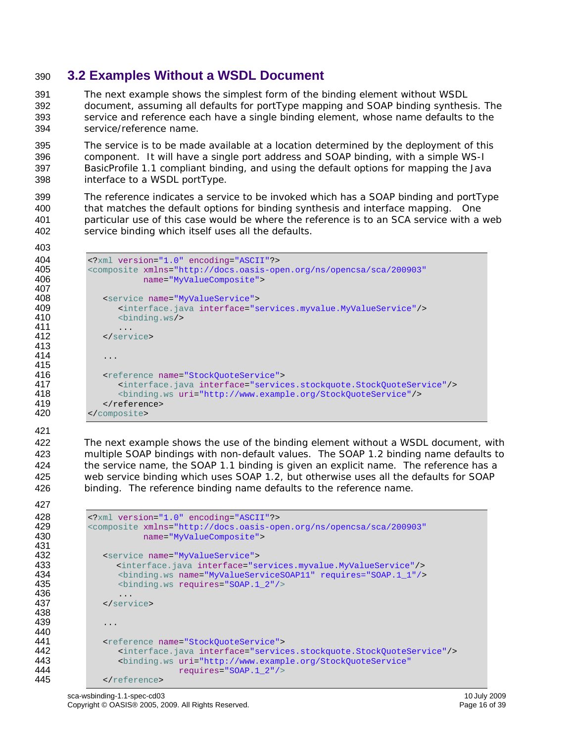#### <span id="page-15-0"></span>390 **3.2 Examples Without a WSDL Document**

391 392 393 394 The next example shows the simplest form of the binding element without WSDL document, assuming all defaults for portType mapping and SOAP binding synthesis. The service and reference each have a single binding element, whose name defaults to the service/reference name.

395 396 397 398 The service is to be made available at a location determined by the deployment of this component. It will have a single port address and SOAP binding, with a simple WS-I BasicProfile 1.1 compliant binding, and using the default options for mapping the Java interface to a WSDL portType.

399 400 401 402 The reference indicates a service to be invoked which has a SOAP binding and portType that matches the default options for binding synthesis and interface mapping. One particular use of this case would be where the reference is to an SCA service with a web service binding which itself uses all the defaults.

```
403
```
407

413

415<br>416

```
404 <? xml version="1.0" encoding="ASCII"?><br>405 <composite xmlns="http://docs.oasis-op
              405 <composite xmlns="http://docs.oasis-open.org/ns/opencsa/sca/200903" 
406 name="MyValueComposite"> 
408 <service name="MyValueService"><br>409 <interface.java interface="s
409 cinterface.java interface="services.myvalue.MyValueService"/><br>410 chinding.ws/>
                     410 <binding.ws/> 
411 ...<br>412 </serv
                 412 </service> 
414 ... 
416 <reference name="StockQuoteService"><br>417 <interface.java_interface="servic
417 \cdot interface.java interface="services.stockquote.StockQuoteService"/><br>418 \cdot chinding.ws uri="http://www.example.org/StockQuoteService"/>
418 \le chinding.ws uri="http://www.example.org/StockQuoteService"/><br>419 \le/reference>
419 </reference><br>420 </composite>
              420 </composite>
```
421 422

423 424 425

The next example shows the use of the binding element without a WSDL document, with multiple SOAP bindings with non-default values. The SOAP 1.2 binding name defaults to the service name, the SOAP 1.1 binding is given an explicit name. The reference has a web service binding which uses SOAP 1.2, but otherwise uses all the defaults for SOAP binding. The reference binding name defaults to the reference name.

```
426 
427
```
431

438 439 440<br>441

```
428 <? xml version="1.0" encoding="ASCII"?><br>429 <composite xmlns="http://docs.oasis-op
429 <composite xmlns="http://docs.oasis-open.org/ns/opencsa/sca/200903"<br>430 mame="MyValueComposite">
                            name="MyValueComposite">
432 <service name="MyValueService"><br>433 <interface.java interface="se
433 <interface.java interface="services.myvalue.MyValueService"/> 
434 <binding.ws name="MyValueServiceSOAP11" requires="SOAP.1_1"/><br>435 <br/>>
<br/>
<br/>
<br/>
<br/>
<br/>
<br/>
<br/>
<br/>
<br/>
<br/>
<br/>
<br/>
<br/>
<br/>
<br/>
<br/>
<br/>
<br/>
<br/>
<br/>
<br/>
<br/>
<br/>
<br/>
<
                      435 <binding.ws requires="SOAP.1_2"/> 
436 ...<br>437 </serv
                  437 </service> 
441 <reference name="StockQuoteService">>>>>>>><interface.java interface="servic
442 <interface.java interface="services.stockquote.StockQuoteService"/> 
443 binding.ws uri="http://www.example.org/StockQuoteService"<br>444 centres="SOAP.1 2"/>
444 requires="SOR.1_2" />
                  445 </reference>
```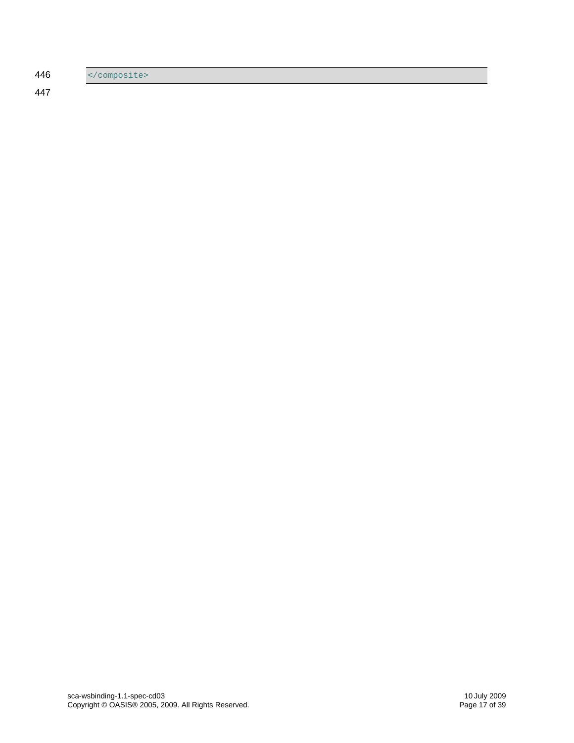</composite>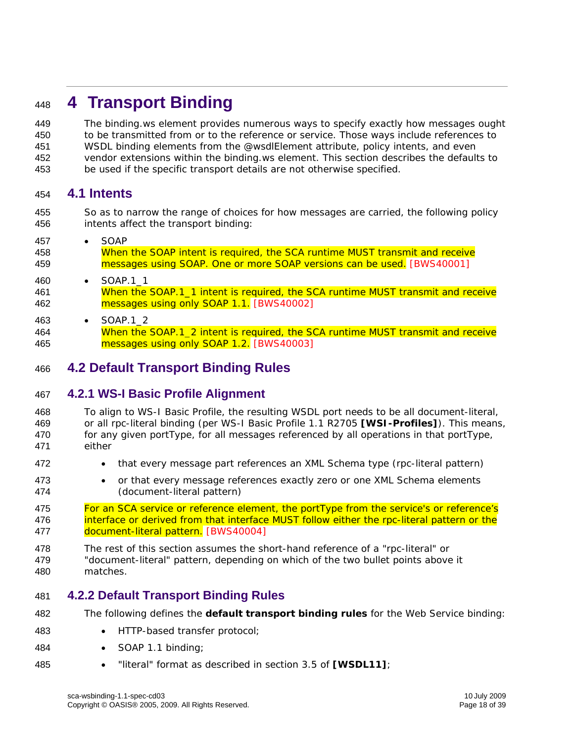### <span id="page-17-1"></span><span id="page-17-0"></span><sup>448</sup>**4 Transport Binding**

The binding.ws element provides numerous ways to specify exactly how messages ought to be transmitted from or to the reference or service. Those ways include references to WSDL binding elements from the @wsdlElement attribute, policy intents, and even vendor extensions within the binding.ws element. This section describes the defaults to be used if the specific transport details are not otherwise specified. 449 450 451 452 453

#### 454 **4.1 Intents**

455 456 So as to narrow the range of choices for how messages are carried, the following policy intents affect the transport binding:

- <span id="page-17-3"></span>457 • SOAP 458 [When the SOAP intent is required, the SCA runtime MUST transmit and receive](#page-28-5)  459 [messages using SOAP. One or more SOAP versions can be used.](#page-28-5) [BWS40001] 460 • SOAP.1\_1 461 [When the SOAP.1\\_1 intent is required, the SCA runtime MUST transmit and receive](#page-28-6)  462 [messages using only SOAP 1.1.](#page-28-6) [BWS40002] 463 • SOAP.1\_2 464 [When the SOAP.1\\_2 intent is required, the SCA runtime MUST transmit and receive](#page-28-7)  465 [messages using only SOAP 1.2.](#page-28-7) [BWS40003]
- <span id="page-17-5"></span><span id="page-17-4"></span>466 **4.2 Default Transport Binding Rules**

#### <span id="page-17-2"></span>467 **4.2.1 WS-I Basic Profile Alignment**

- 468 469 470 471 To align to WS-I Basic Profile, the resulting WSDL port needs to be all document-literal, or all rpc-literal binding (per WS-I Basic Profile 1.1 R2705 **[\[WSI-Profiles\]](#page-6-3)**). This means, for any given portType, for all messages referenced by all operations in that portType, either
- 472 • that every message part references an XML Schema type (rpc-literal pattern)
- 473 474 • or that every message references exactly zero or one XML Schema elements (document-literal pattern)

475 For an SCA service or reference element, the portType from the service's or reference's 476 interface or derived from that interface MUST follow either the rpc-literal pattern or the 477 [document-literal pattern.](#page-28-8) [BWS40004]

<span id="page-17-6"></span>478 479 480 The rest of this section assumes the short-hand reference of a "rpc-literal" or "document-literal" pattern, depending on which of the two bullet points above it matches.

#### 481 **4.2.2 Default Transport Binding Rules**

- 482 The following defines the **default transport binding rules** for the Web Service binding:
- 483 • HTTP-based transfer protocol;
- 484 • SOAP 1.1 binding;
- 485 • "literal" format as described in section 3.5 of **[\[WSDL11\]](#page-6-2)**;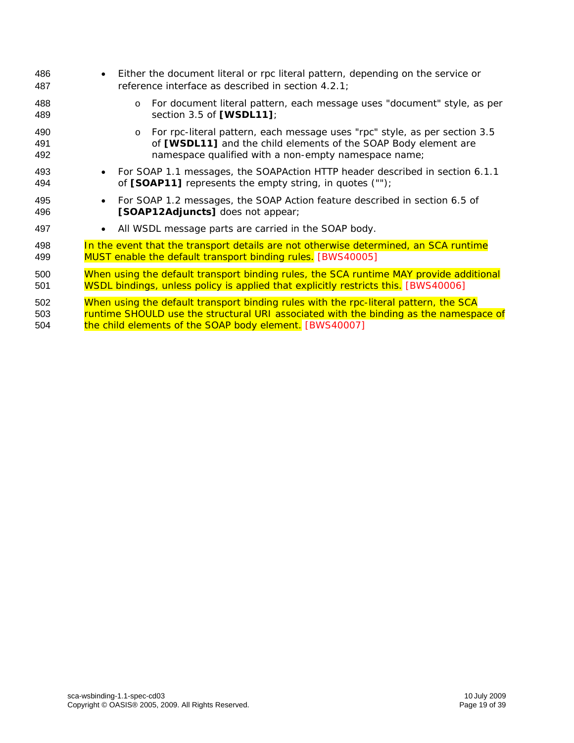<span id="page-18-2"></span><span id="page-18-1"></span><span id="page-18-0"></span>

| 486               | Either the document literal or rpc literal pattern, depending on the service or                                                                                                                                  |
|-------------------|------------------------------------------------------------------------------------------------------------------------------------------------------------------------------------------------------------------|
| 487               | reference interface as described in section 4.2.1;                                                                                                                                                               |
| 488<br>489        | For document literal pattern, each message uses "document" style, as per<br>$\circ$<br>section $3.5$ of [WSDL11];                                                                                                |
| 490<br>491<br>492 | For rpc-literal pattern, each message uses "rpc" style, as per section 3.5<br>$\circ$<br>of [WSDL11] and the child elements of the SOAP Body element are<br>namespace qualified with a non-empty namespace name; |
| 493               | For SOAP 1.1 messages, the SOAPAction HTTP header described in section 6.1.1                                                                                                                                     |
| 494               | of $[SOAP11]$ represents the empty string, in quotes $("")$ ;                                                                                                                                                    |
| 495               | For SOAP 1.2 messages, the SOAP Action feature described in section 6.5 of                                                                                                                                       |
| 496               | [SOAP12Adjuncts] does not appear;                                                                                                                                                                                |
| 497               | All WSDL message parts are carried in the SOAP body.                                                                                                                                                             |
| 498               | In the event that the transport details are not otherwise determined, an SCA runtime                                                                                                                             |
| 499               | <b>MUST</b> enable the default transport binding rules. [BWS40005]                                                                                                                                               |
| 500               | When using the default transport binding rules, the SCA runtime MAY provide additional                                                                                                                           |
| 501               | WSDL bindings, unless policy is applied that explicitly restricts this. [BWS40006]                                                                                                                               |
| 502               | When using the default transport binding rules with the rpc-literal pattern, the SCA                                                                                                                             |
| 503               | runtime SHOULD use the structural URI associated with the binding as the namespace of                                                                                                                            |
| 504               | the child elements of the SOAP body element. [BWS40007]                                                                                                                                                          |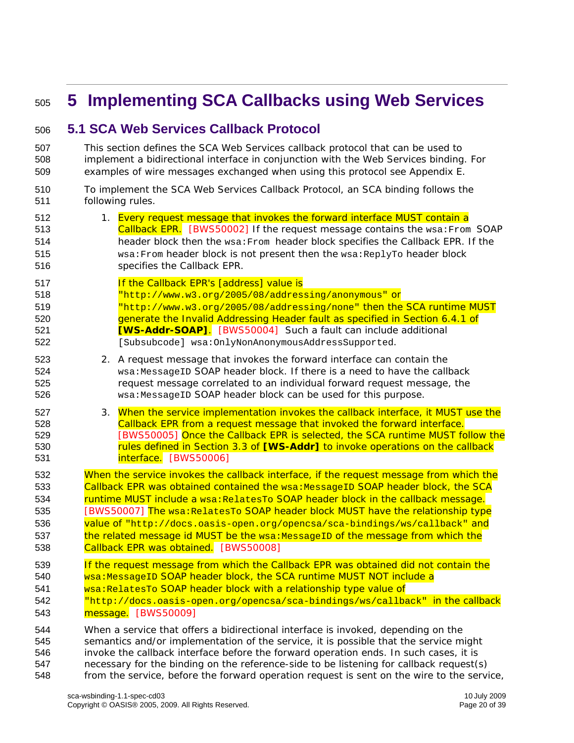### <span id="page-19-0"></span><sup>505</sup>**5 Implementing SCA Callbacks using Web Services**

#### 506 **5.1 SCA Web Services Callback Protocol**

- This section defines the SCA Web Services callback protocol that can be used to implement a bidirectional interface in conjunction with the Web Services binding. For examples of wire messages exchanged when using this protocol see Appendix [E](#page-31-1). 507 508 509
- 510 511 To implement the SCA Web Services Callback Protocol, an SCA binding follows the following rules.
- <span id="page-19-1"></span>512 1. Every request message that invokes the forward interface MUST contain a [Callback EPR.](#page-28-12) [BWS50002] If the request message contains the wsa:From SOAP header block then the wsa:From header block specifies the Callback EPR. If the wsa:From header block is not present then the wsa:ReplyTo header block specifies the Callback EPR. 513 514 515 516 517 **If the Callback EPR's [address] value is** 518 ["http://www.w3.org/2005/08/addressing/anonymous"](#page-28-13) [or](#page-28-13)  519 **["http://www.w3.org/2005/08/addressing/none"](#page-28-13) then the SCA runtime MUST** 520 [generate the Invalid Addressing Header fault as specified in Section 6.4.1 of](#page-28-13)  **[\[WS-Addr-SOAP\]](#page-28-13)**. [BWS50004] Such a fault can include additional [Subsubcode] wsa:OnlyNonAnonymousAddressSupported. 521 522 523 524 525 526 2. A request message that invokes the forward interface can contain the wsa:MessageID SOAP header block. If there is a need to have the callback request message correlated to an individual forward request message, the wsa:MessageID SOAP header block can be used for this purpose. 527 3. When the service implementation invokes the callback interface, it MUST use the 528 **Callback EPR from a request message that invoked the forward interface.**
- <span id="page-19-3"></span><span id="page-19-2"></span>529 **EXECUTE:** [BWS50005] Once the Callback EPR is selected, the SCA runtime MUST follow the 530 **rules defined in Section 3.3 of [WS-Addr]** to invoke operations on the callback 531 **interface.** [BWS50006]
- <span id="page-19-5"></span><span id="page-19-4"></span>532 When the service invokes the callback interface, if the request message from which the 533 **[Callback EPR was obtained contained the](#page-28-16) [wsa:MessageID](#page-28-16) SOAP header block, the SCA** 534 [runtime MUST include a](#page-28-16) wsa: RelatesTo [SOAP header block in the callback message.](#page-28-16) 535 [BWS50007] [The](#page-29-0) [wsa:RelatesTo](#page-29-0) SOAP header block MUST have the relationship type 536 [value of](#page-29-0) ["http://docs.oasis-open.org/opencsa/sca-bindings/ws/callback"](#page-29-0) [and](#page-29-0)  537 [the related message id MUST be the](#page-29-0) [wsa:MessageID](#page-29-0) of the message from which the 538 [Callback EPR was obtained.](#page-29-0) [BWS50008]
- <span id="page-19-6"></span>539 If the request message from which the Callback EPR was obtained did not contain the 540 wsa: Message ID SOAP header block, the SCA runtime MUST NOT include a
- 541 [wsa:RelatesTo](#page-29-1) SOAP header block with a relationship type value of
- <span id="page-19-7"></span>542 ["http://docs.oasis-open.org/opencsa/sca-bindings/ws/callback"](#page-29-1) [in the callback](#page-29-1)  543 [message.](#page-29-1) [BWS50009]
- 544 545 546 547 548 When a service that offers a bidirectional interface is invoked, depending on the semantics and/or implementation of the service, it is possible that the service might invoke the callback interface before the forward operation ends. In such cases, it is necessary for the binding on the reference-side to be listening for callback request(s) from the service, before the forward operation request is sent on the wire to the service,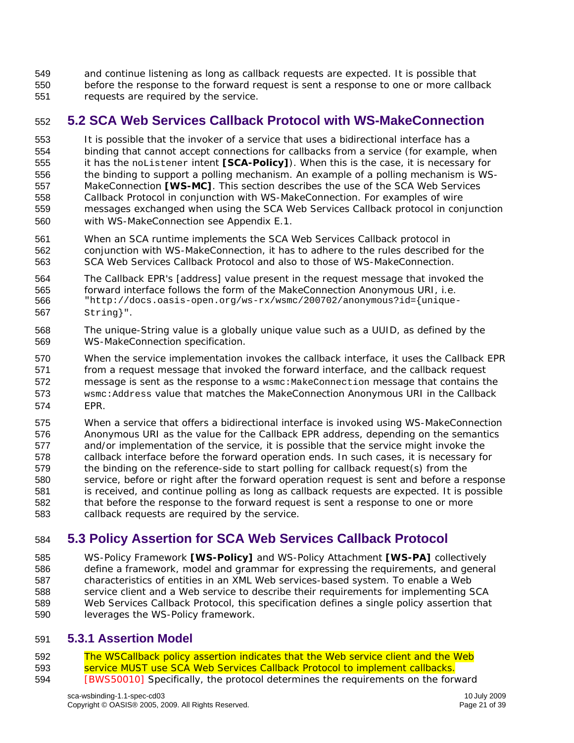<span id="page-20-0"></span>549 550 551 and continue listening as long as callback requests are expected. It is possible that before the response to the forward request is sent a response to one or more callback requests are required by the service.

#### 552 **5.2 SCA Web Services Callback Protocol with WS-MakeConnection**

553 554 555 556 557 558 559 560 It is possible that the invoker of a service that uses a bidirectional interface has a binding that cannot accept connections for callbacks from a service (for example, when it has the noListener intent **[\[SCA-Policy\]](#page-6-10)**). When this is the case, it is necessary for the binding to support a polling mechanism. An example of a polling mechanism is WS-MakeConnection **[\[WS-MC\]](#page-7-3)**. This section describes the use of the SCA Web Services Callback Protocol in conjunction with WS-MakeConnection. For examples of wire messages exchanged when using the SCA Web Services Callback protocol in conjunction with WS-MakeConnection see Appendix [E.1.](#page-33-1)

561 562 563 When an SCA runtime implements the SCA Web Services Callback protocol in conjunction with WS-MakeConnection, it has to adhere to the rules described for the SCA Web Services Callback Protocol and also to those of WS-MakeConnection.

564 565 566 567 The Callback EPR's [address] value present in the request message that invoked the forward interface follows the form of the MakeConnection Anonymous URI, i.e. "http://docs.oasis-open.org/ws-rx/wsmc/200702/anonymous?id={unique-String}".

568 569 The unique-String value is a globally unique value such as a UUID, as defined by the WS-MakeConnection specification.

570 571 572 573 574 When the service implementation invokes the callback interface, it uses the Callback EPR from a request message that invoked the forward interface, and the callback request message is sent as the response to a wsmc:MakeConnection message that contains the wsmc:Address value that matches the MakeConnection Anonymous URI in the Callback EPR.

575 576 577 578 579 580 581 582 583 When a service that offers a bidirectional interface is invoked using WS-MakeConnection Anonymous URI as the value for the Callback EPR address, depending on the semantics and/or implementation of the service, it is possible that the service might invoke the callback interface before the forward operation ends. In such cases, it is necessary for the binding on the reference-side to start polling for callback request(s) from the service, before or right after the forward operation request is sent and before a response is received, and continue polling as long as callback requests are expected. It is possible that before the response to the forward request is sent a response to one or more callback requests are required by the service.

### 584 **5.3 Policy Assertion for SCA Web Services Callback Protocol**

585 586 587 588 589 590 WS-Policy Framework **[\[WS-Policy\]](#page-7-4)** and WS-Policy Attachment **[\[WS-PA\]](#page-7-5)** collectively define a framework, model and grammar for expressing the requirements, and general characteristics of entities in an XML Web services-based system. To enable a Web service client and a Web service to describe their requirements for implementing SCA Web Services Callback Protocol, this specification defines a single policy assertion that leverages the WS-Policy framework.

#### 591 **5.3.1 Assertion Model**

- 592 [The WSCallback policy assertion indicates that the Web service client and the Web](#page-29-2)  [service MUST use SCA Web Services Callback Protocol to implement callbacks.](#page-29-2) 593
- <span id="page-20-1"></span>[BWS50010] Specifically, the protocol determines the requirements on the forward 594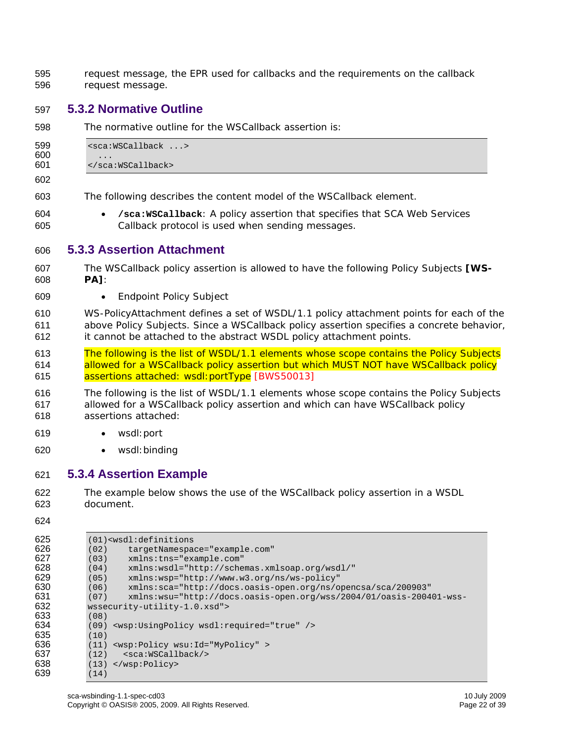<span id="page-21-0"></span>595 596 request message, the EPR used for callbacks and the requirements on the callback request message.

#### 597 **5.3.2 Normative Outline**

598 The normative outline for the WSCallback assertion is:

| 599 | $<$ sca:WSCallback > |
|-----|----------------------|
| 600 | $\cdot$              |
| 601 |                      |

602

603 The following describes the content model of the WSCallback element.

604 605 • **/sca:WSCallback**: A policy assertion that specifies that SCA Web Services Callback protocol is used when sending messages.

#### 606 **5.3.3 Assertion Attachment**

- 607 608 The WSCallback policy assertion is allowed to have the following Policy Subjects **[\[WS-](#page-7-5)[PA\]](#page-7-5)**:
- 609 **Endpoint Policy Subject**

610 611 612 WS-PolicyAttachment defines a set of WSDL/1.1 policy attachment points for each of the above Policy Subjects. Since a WSCallback policy assertion specifies a concrete behavior, it cannot be attached to the abstract WSDL policy attachment points.

613 [The following is the list of WSDL/1.1 elements whose scope contains the Policy Subjects](#page-29-3)  614 allowed for a WSCallback policy assertion but which MUST NOT have WSCallback policy 615 [assertions attached: wsdl:portType](#page-29-3) [BWS50013]

<span id="page-21-1"></span>616 617 618 The following is the list of WSDL/1.1 elements whose scope contains the Policy Subjects allowed for a WSCallback policy assertion and which can have WSCallback policy assertions attached:

- 619 wsdl: port
- 620 • wsdl: binding

#### 621 **5.3.4 Assertion Example**

622 623 The example below shows the use of the WSCallback policy assertion in a WSDL document.

624

```
625 (01)<wsdl:definitions<br>626 (02) targetNamespa
               (02) targetNamespace="example.com"<br>(03) xmlns:tns="example.com"
627 (03) xmlns:tns="example.com"<br>628 (04) xmlns:wsdl="http://sche
628 (04) xmlns:wsdl="http://schemas.xmlsoap.org/wsdl/~"<br>629 (05) xmlns:wsp="http://www.w3.org/ns/ws-policy"629 (05) xmlns:wsp="http://www.w3.org/ns/ws-policy"<br>630 (06) xmlns:sca="http://docs.oasis-open.org/ns/c
630 (06) xmlns:sca="http://docs.oasis-open.org/ns/opencsa/sca/200903"<br>631 (07) xmlns:wsu="http://docs.oasis-open.org/wss/2004/01/oasis-2004
                           631 (07) xmlns:wsu="http://docs.oasis-open.org/wss/2004/01/oasis-200401-wss-
632 wssecurity-utility-1.0.xsd"> 
633 (08) 
634 (09) <wsp:UsingPolicy wsdl:required="true" /> 635 (10)
635 (10)<br>636 (11)
636 (11) <wsp:Policy wsu:Id="MyPolicy" > 637 (12) <sca:WSCallback/>
637 (12) < sca: WSCallback />
638 (13) < / wsp: Policy>
638 (13) </wsp:Policy><br>639 (14)
               (14)
```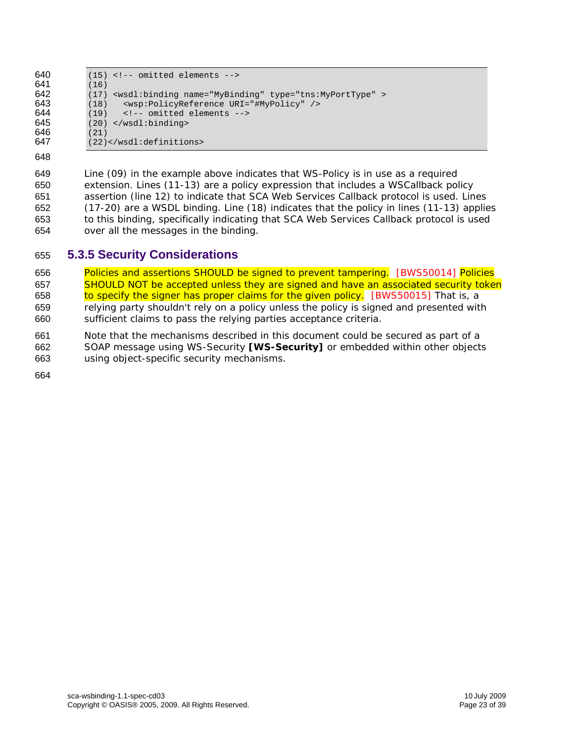```
640 (15) <!-- omitted elements --> 641 (16)
641 (16)<br>
642 (17)
642 (17) <wsdl:binding name="MyBinding" type="tns:MyPortType" > 643 (18) <wsp:PolicyReference URI="#MyPolicy" />
643 (18) \langle \text{wsp:PolicyReference URL} = \text{HMyPolicy} \rangle /> 644 (19) \langle \text{1-}-\text{omitted elements} \rangle644 (19) <!-- omitted elements --><br>645 (20) </wsdl:binding>
645 (20) </wsdl:binding><br>646 (21)
646 (21)<br>
647 (22)
                647 (22)</wsdl:definitions>
```
648

649 650 651 652 653 654 Line (09) in the example above indicates that WS-Policy is in use as a required extension. Lines (11-13) are a policy expression that includes a WSCallback policy assertion (line 12) to indicate that SCA Web Services Callback protocol is used. Lines (17-20) are a WSDL binding. Line (18) indicates that the policy in lines (11-13) applies to this binding, specifically indicating that SCA Web Services Callback protocol is used over all the messages in the binding.

#### 655 **5.3.5 Security Considerations**

<span id="page-22-2"></span><span id="page-22-1"></span>656 [Policies and assertions SHOULD be signed to prevent tampering.](#page-29-4) [BWS50014] Policies 657 SHOULD NOT be accepted unless they are signed and have an associated security token [to specify the signer has proper claims for the given policy.](#page-29-5) [BWS50015] That is, a relying party shouldn't rely on a policy unless the policy is signed and presented with sufficient claims to pass the relying parties acceptance criteria. 658 659 660

661 662 663 Note that the mechanisms described in this document could be secured as part of a SOAP message using WS-Security **[\[WS-Security\]](#page-7-6)** or embedded within other objects using object-specific security mechanisms.

664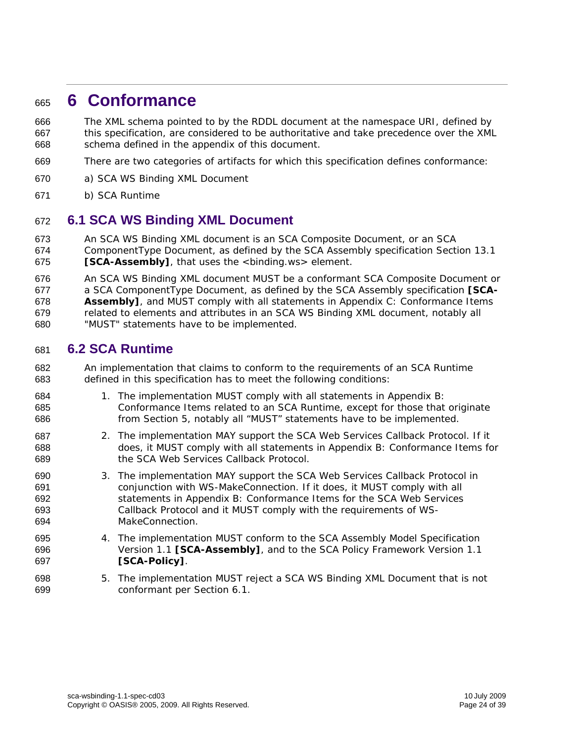### <span id="page-23-0"></span><sup>665</sup>**6 Conformance**

The XML schema pointed to by the RDDL document at the namespace URI, defined by this specification, are considered to be authoritative and take precedence over the XML schema defined in the appendix of this document. 666 667 668

- 669 There are two categories of artifacts for which this specification defines conformance:
- 670 a) SCA WS Binding XML Document
- 671 b) SCA Runtime

#### 672 **6.1 SCA WS Binding XML Document**

- 673 674 675 An SCA WS Binding XML document is an SCA Composite Document, or an SCA ComponentType Document, as defined by the SCA Assembly specification Section 13.1 **[\[SCA-Assembly\]](#page-6-1)**, that uses the <binding.ws> element.
- 676 677 678 679 680 An SCA WS Binding XML document MUST be a conformant SCA Composite Document or a SCA ComponentType Document, as defined by the SCA Assembly specification **[\[SCA-](#page-6-1)[Assembly\]](#page-6-1)**, and MUST comply with all statements in Appendix C: Conformance Items related to elements and attributes in an SCA WS Binding XML document, notably all "MUST" statements have to be implemented.

#### 681 **6.2 SCA Runtime**

- 682 683 An implementation that claims to conform to the requirements of an SCA Runtime defined in this specification has to meet the following conditions:
- 684 685 686 1. The implementation MUST comply with all statements in Appendix B: Conformance Items related to an SCA Runtime, except for those that originate from Section 5, notably all "MUST" statements have to be implemented.
- 687 688 689 2. The implementation MAY support the SCA Web Services Callback Protocol. If it does, it MUST comply with all statements in Appendix B: Conformance Items for the SCA Web Services Callback Protocol.
- 690 691 692 693 694 3. The implementation MAY support the SCA Web Services Callback Protocol in conjunction with WS-MakeConnection. If it does, it MUST comply with all statements in Appendix B: Conformance Items for the SCA Web Services Callback Protocol and it MUST comply with the requirements of WS-MakeConnection.
- 695 696 697 4. The implementation MUST conform to the SCA Assembly Model Specification Version 1.1 **[\[SCA-Assembly\]](#page-6-1)**, and to the SCA Policy Framework Version 1.1 **[\[SCA-Policy\]](#page-6-10)**.
- 698 699 5. The implementation MUST reject a SCA WS Binding XML Document that is not conformant per Section 6.1.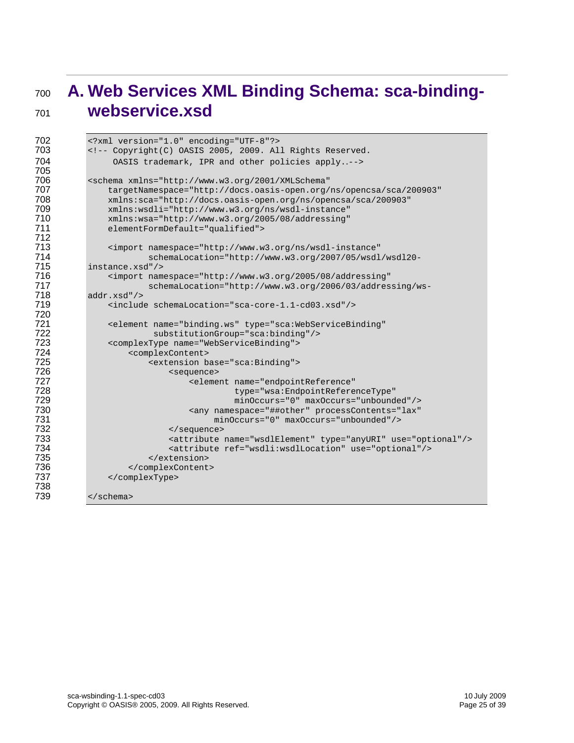### <span id="page-24-0"></span>**A. Web Services XML Binding Schema: sca-binding-webservice.xsd**

| 702 |
|-----|
| 703 |
| 704 |
| 705 |
| 706 |
| 707 |
| 708 |
| 709 |

```
702 <?xml version="1.0" encoding="UTF-8"?> 
         703 <!-- Copyright(C) OASIS 2005, 2009. All Rights Reserved. 
              0ASIS trademark, IPR and other policies apply. -->
         706 <schema xmlns="http://www.w3.org/2001/XMLSchema" 
             707 targetNamespace="http://docs.oasis-open.org/ns/opencsa/sca/200903" 
             708 xmlns:sca="http://docs.oasis-open.org/ns/opencsa/sca/200903" 
709 xmlns:wsdli="http://www.w3.org/ns/wsdl-instance" 
710 xmlns:wsa="http://www.w3.org/2005/08/addressing" 
             elementFormDefault="qualified">
712 
713 <import namespace="http://www.w3.org/ns/wsdl-instance"<br>714 schemaLocation="http://www.w3.org/2007/05/wsdl
714 schemaLocation="http://www.w3.org/2007/05/wsdl/wsdl20-<br>715 instance.xsd"/>
715 instance.xsd"/><br>716 <import nam
716 <import namespace="http://www.w3.org/2005/08/addressing" 
717 schemaLocation="http://www.w3.org/2006/03/addressing/ws-
718 addr.xsd"/> 
             719 <include schemaLocation="sca-core-1.1-cd03.xsd"/> 
720 
721 <element name="binding.ws" type="sca:WebServiceBinding"<br>722 substitutionGroup="sca:binding"/>
722 substitutionGroup="sca:binding"/><br>723 <complexType name="WebServiceBinding">
723 <complexType name="WebServiceBinding"> 
724 <complexContent> 
725 <extension base="sca:Binding"> 
726 <sequence> 
727 <element name="endpointReference" 
728 type="wsa:EndpointReferenceType" 
729 minOccurs="0" maxOccurs="unbounded"/> 
730 <any namespace="##other" processContents="lax" 
731 minOccurs="0" maxOccurs="unbounded"/> 
732 </sequence> 
733 <attribute name="wsdlElement" type="anyURI" use="optional"/> 
734 <attribute ref="wsdli:wsdlLocation" use="optional"/><br>735 </extension>
735 </extension><br>736 </extension>
                 736 </complexContent> 
737 </complexType>
738 
          </schema>
```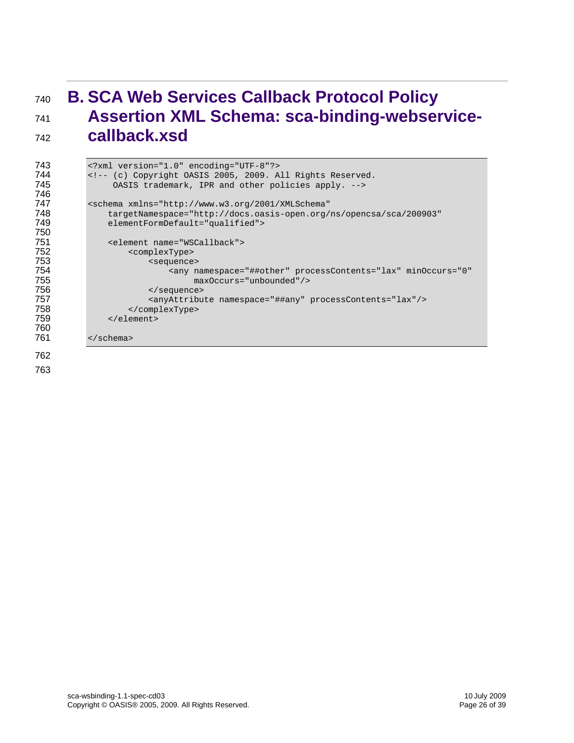#### <span id="page-25-0"></span>**B. SCA Web Services Callback Protocol Policy Assertion XML Schema: sca-binding-webservicecallback.xsd**

```
743 <?xml version="1.0" encoding="UTF-8"?> 
744 <!-- (c) Copyright OASIS 2005, 2009. All Rights Reserved.<br>745 0ASIS trademark, IPR and other policies apply. -->
                 OASIS trademark, IPR and other policies apply. -->
746 
747 <schema xmlns="http://www.w3.org/2001/XMLSchema" 
748 targetNamespace="http://docs.oasis-open.org/ns/opencsa/sca/200903" 
                749 elementFormDefault="qualified"> 
750<br>751
751 <element name="WSCallback"> 
752 <complexType><br>753 <complexType><br>754 <any :
                        753 <sequence> 
754 <any namespace="##other" processContents="lax" minOccurs="0"<br>755 maxOccurs="unbounded"/><br>756 </sequence>
                                  755 maxOccurs="unbounded"/> 
756 </sequence><br>757 <aryAttribu
757 <anyAttribute namespace="##any" processContents="lax"/> 
758 </complexType> 
                </element>
760 
           761 </schema>
```
sca-wsbinding-1.1-spec-cd03 10 July 2009 Copyright © OASIS® 2005, 2009. All Rights Reserved. **Page 26 of 39** Page 26 of 39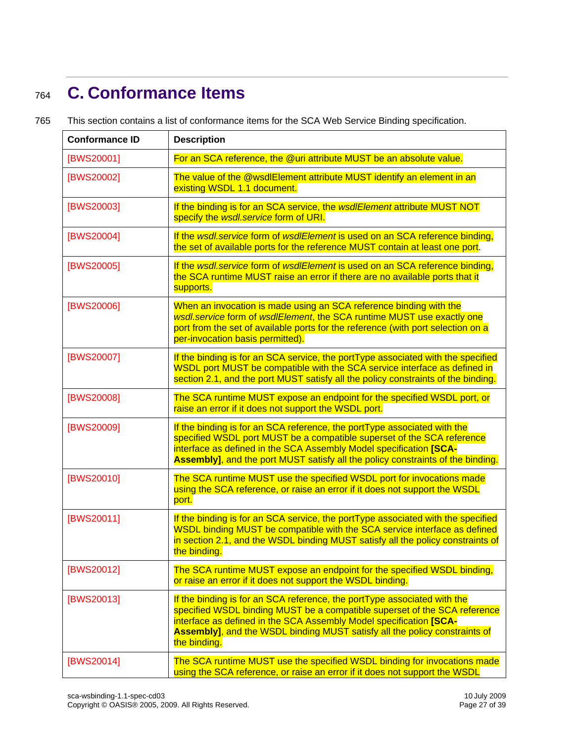### <span id="page-26-0"></span><sup>764</sup>**C. Conformance Items**

<span id="page-26-13"></span><span id="page-26-12"></span><span id="page-26-11"></span><span id="page-26-10"></span><span id="page-26-9"></span><span id="page-26-8"></span><span id="page-26-7"></span><span id="page-26-6"></span><span id="page-26-5"></span><span id="page-26-4"></span><span id="page-26-3"></span><span id="page-26-2"></span><span id="page-26-1"></span>**Conformance ID Description**   $[BWS20001]$  For an SCA reference, the @uri attribute MUST be an absolute value. [\[BWS20002\]](#page-8-2) The value of the @wsdlElement attribute MUST identify an element in an existing WSDL 1.1 document. [\[BWS20003\]](#page-8-3) If the binding is for an SCA service, the *wsdlElement* attribute MUST NOT specify the *wsdl.service* form of URI. [\[BWS20004\]](#page-8-4) If the *wsdl.service* form of *wsdlElement* is used on an SCA reference binding, the set of available ports for the reference MUST contain at least one port. [\[BWS20005\]](#page-8-5) If the *wsdl.service* form of *wsdlElement* is used on an SCA reference binding, the SCA runtime MUST raise an error if there are no available ports that it supports. [\[BWS20006\]](#page-8-6) When an invocation is made using an SCA reference binding with the *wsdl.service* form of *wsdlElement*, the SCA runtime MUST use exactly one port from the set of available ports for the reference (with port selection on a per-invocation basis permitted).  $[BWS20007]$  If the binding is for an SCA service, the portType associated with the specified WSDL port MUST be compatible with the SCA service interface as defined in section 2.1, and the port MUST satisfy all the policy constraints of the binding. [\[BWS20008\]](#page-9-1) The SCA runtime MUST expose an endpoint for the specified WSDL port, or raise an error if it does not support the WSDL port. [\[BWS20009\]](#page-9-2) If the binding is for an SCA reference, the portType associated with the specified WSDL port MUST be a compatible superset of the SCA reference interface as defined in the SCA Assembly Model specification **[\[SCA-](#page-6-1)[Assembly\]](#page-6-1)**, and the port MUST satisfy all the policy constraints of the binding. [\[BWS20010\]](#page-9-3) The SCA runtime MUST use the specified WSDL port for invocations made using the SCA reference, or raise an error if it does not support the WSDL port. [\[BWS20011\]](#page-9-4) If the binding is for an SCA service, the portType associated with the specified WSDL binding MUST be compatible with the SCA service interface as defined in section 2.1, and the WSDL binding MUST satisfy all the policy constraints of the binding. [\[BWS20012\]](#page-9-5) The SCA runtime MUST expose an endpoint for the specified WSDL binding, or raise an error if it does not support the WSDL binding. [\[BWS20013\]](#page-9-6) If the binding is for an SCA reference, the portType associated with the specified WSDL binding MUST be a compatible superset of the SCA reference interface as defined in the SCA Assembly Model specification **[\[SCA-](#page-6-1)[Assembly\]](#page-6-1)**, and the WSDL binding MUST satisfy all the policy constraints of the binding. [\[BWS20014\]](#page-9-7) The SCA runtime MUST use the specified WSDL binding for invocations made using the SCA reference, or raise an error if it does not support the WSDL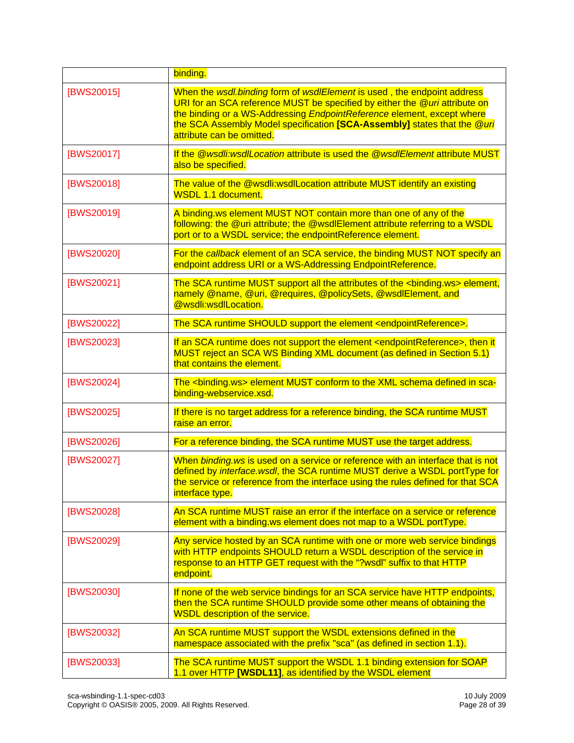<span id="page-27-16"></span><span id="page-27-15"></span><span id="page-27-14"></span><span id="page-27-13"></span><span id="page-27-12"></span><span id="page-27-11"></span><span id="page-27-10"></span><span id="page-27-9"></span><span id="page-27-8"></span><span id="page-27-7"></span><span id="page-27-6"></span><span id="page-27-5"></span><span id="page-27-4"></span><span id="page-27-3"></span><span id="page-27-2"></span><span id="page-27-1"></span><span id="page-27-0"></span>

|            | binding.                                                                                                                                                                                                                                                                                                                                        |
|------------|-------------------------------------------------------------------------------------------------------------------------------------------------------------------------------------------------------------------------------------------------------------------------------------------------------------------------------------------------|
| [BWS20015] | When the wsdl.binding form of wsdlElement is used, the endpoint address<br>URI for an SCA reference MUST be specified by either the <i>Quri</i> attribute on<br>the binding or a WS-Addressing EndpointReference element, except where<br>the SCA Assembly Model specification [SCA-Assembly] states that the @uri<br>attribute can be omitted. |
| [BWS20017] | If the @wsdli:wsdlLocation attribute is used the @wsdlElement attribute MUST<br>also be specified.                                                                                                                                                                                                                                              |
| [BWS20018] | The value of the @wsdli:wsdlLocation attribute MUST identify an existing<br>WSDL 1.1 document.                                                                                                                                                                                                                                                  |
| [BWS20019] | A binding ws element MUST NOT contain more than one of any of the<br>following: the @uri attribute; the @wsdlElement attribute referring to a WSDL<br>port or to a WSDL service; the endpointReference element.                                                                                                                                 |
| [BWS20020] | For the callback element of an SCA service, the binding MUST NOT specify an<br>endpoint address URI or a WS-Addressing EndpointReference.                                                                                                                                                                                                       |
| [BWS20021] | The SCA runtime MUST support all the attributes of the <binding.ws> element,<br/>namely @name, @uri, @requires, @policySets, @wsdlElement, and<br/>@wsdli:wsdlLocation.</binding.ws>                                                                                                                                                            |
| [BWS20022] | The SCA runtime SHOULD support the element <endpointreference>.</endpointreference>                                                                                                                                                                                                                                                             |
| [BWS20023] | If an SCA runtime does not support the element <endpointreference>, then it<br/>MUST reject an SCA WS Binding XML document (as defined in Section 5.1)<br/>that contains the element.</endpointreference>                                                                                                                                       |
| [BWS20024] | The <binding.ws> element MUST conform to the XML schema defined in sca-<br/>binding-webservice.xsd.</binding.ws>                                                                                                                                                                                                                                |
| [BWS20025] | If there is no target address for a reference binding, the SCA runtime MUST<br>raise an error.                                                                                                                                                                                                                                                  |
| [BWS20026] | For a reference binding, the SCA runtime MUST use the target address.                                                                                                                                                                                                                                                                           |
| [BWS20027] | When binding ws is used on a service or reference with an interface that is not<br>defined by interface.wsdl, the SCA runtime MUST derive a WSDL portType for<br>the service or reference from the interface using the rules defined for that SCA<br>interface type.                                                                            |
| [BWS20028] | An SCA runtime MUST raise an error if the interface on a service or reference<br>element with a binding ws element does not map to a WSDL portType.                                                                                                                                                                                             |
| [BWS20029] | Any service hosted by an SCA runtime with one or more web service bindings<br>with HTTP endpoints SHOULD return a WSDL description of the service in<br>response to an HTTP GET request with the "?wsdl" suffix to that HTTP<br>endpoint.                                                                                                       |
| [BWS20030] | If none of the web service bindings for an SCA service have HTTP endpoints,<br>then the SCA runtime SHOULD provide some other means of obtaining the<br><b>WSDL description of the service.</b>                                                                                                                                                 |
| [BWS20032] | An SCA runtime MUST support the WSDL extensions defined in the<br>namespace associated with the prefix "sca" (as defined in section 1.1).                                                                                                                                                                                                       |
| [BWS20033] | The SCA runtime MUST support the WSDL 1.1 binding extension for SOAP<br>1.1 over HTTP [WSDL11], as identified by the WSDL element                                                                                                                                                                                                               |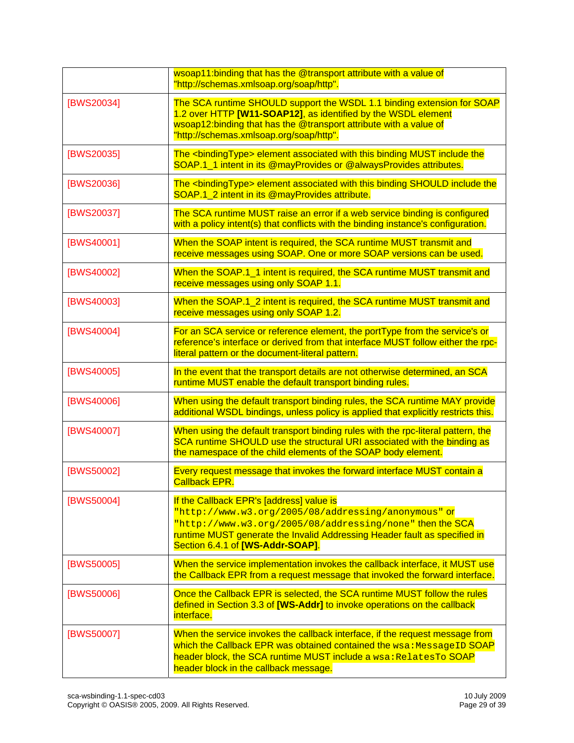<span id="page-28-16"></span><span id="page-28-15"></span><span id="page-28-14"></span><span id="page-28-13"></span><span id="page-28-12"></span><span id="page-28-11"></span><span id="page-28-10"></span><span id="page-28-9"></span><span id="page-28-8"></span><span id="page-28-7"></span><span id="page-28-6"></span><span id="page-28-5"></span><span id="page-28-4"></span><span id="page-28-3"></span><span id="page-28-2"></span><span id="page-28-1"></span><span id="page-28-0"></span>

|            | wsoap11:binding that has the @transport attribute with a value of<br>"http://schemas.xmlsoap.org/soap/http".                                                                                                                                                                 |  |  |
|------------|------------------------------------------------------------------------------------------------------------------------------------------------------------------------------------------------------------------------------------------------------------------------------|--|--|
| [BWS20034] | The SCA runtime SHOULD support the WSDL 1.1 binding extension for SOAP<br>1.2 over HTTP [W11-SOAP12], as identified by the WSDL element<br>wsoap12:binding that has the @transport attribute with a value of<br>"http://schemas.xmlsoap.org/soap/http".                      |  |  |
| [BWS20035] | The <bindingtype> element associated with this binding MUST include the<br/>SOAP.1_1 intent in its @mayProvides or @alwaysProvides attributes.</bindingtype>                                                                                                                 |  |  |
| [BWS20036] | The <bindingtype> element associated with this binding SHOULD include the<br/>SOAP.1_2 intent in its @mayProvides attribute.</bindingtype>                                                                                                                                   |  |  |
| [BWS20037] | The SCA runtime MUST raise an error if a web service binding is configured<br>with a policy intent(s) that conflicts with the binding instance's configuration.                                                                                                              |  |  |
| [BWS40001] | When the SOAP intent is required, the SCA runtime MUST transmit and<br>receive messages using SOAP. One or more SOAP versions can be used.                                                                                                                                   |  |  |
| [BWS40002] | When the SOAP.1_1 intent is required, the SCA runtime MUST transmit and<br>receive messages using only SOAP 1.1.                                                                                                                                                             |  |  |
| [BWS40003] | When the SOAP.1_2 intent is required, the SCA runtime MUST transmit and<br>receive messages using only SOAP 1.2.                                                                                                                                                             |  |  |
| [BWS40004] | For an SCA service or reference element, the portType from the service's or<br>reference's interface or derived from that interface MUST follow either the rpc-<br>literal pattern or the document-literal pattern.                                                          |  |  |
| [BWS40005] | In the event that the transport details are not otherwise determined, an SCA<br>runtime MUST enable the default transport binding rules.                                                                                                                                     |  |  |
| [BWS40006] | When using the default transport binding rules, the SCA runtime MAY provide<br>additional WSDL bindings, unless policy is applied that explicitly restricts this.                                                                                                            |  |  |
| [BWS40007] | When using the default transport binding rules with the rpc-literal pattern, the<br>SCA runtime SHOULD use the structural URI associated with the binding as<br>the namespace of the child elements of the SOAP body element.                                                |  |  |
| [BWS50002] | Every request message that invokes the forward interface MUST contain a<br><b>Callback EPR.</b>                                                                                                                                                                              |  |  |
| [BWS50004] | If the Callback EPR's [address] value is<br>"http://www.w3.org/2005/08/addressing/anonymous" or<br>"http://www.w3.org/2005/08/addressing/none" then the SCA<br>runtime MUST generate the Invalid Addressing Header fault as specified in<br>Section 6.4.1 of [WS-Addr-SOAP]. |  |  |
| [BWS50005] | When the service implementation invokes the callback interface, it MUST use<br>the Callback EPR from a request message that invoked the forward interface.                                                                                                                   |  |  |
| [BWS50006] | Once the Callback EPR is selected, the SCA runtime MUST follow the rules<br>defined in Section 3.3 of [WS-Addr] to invoke operations on the callback<br>interface.                                                                                                           |  |  |
| [BWS50007] | When the service invokes the callback interface, if the request message from<br>which the Callback EPR was obtained contained the wsa: MessageID SOAP<br>header block, the SCA runtime MUST include a wsa: RelatesTo SOAP<br>header block in the callback message.           |  |  |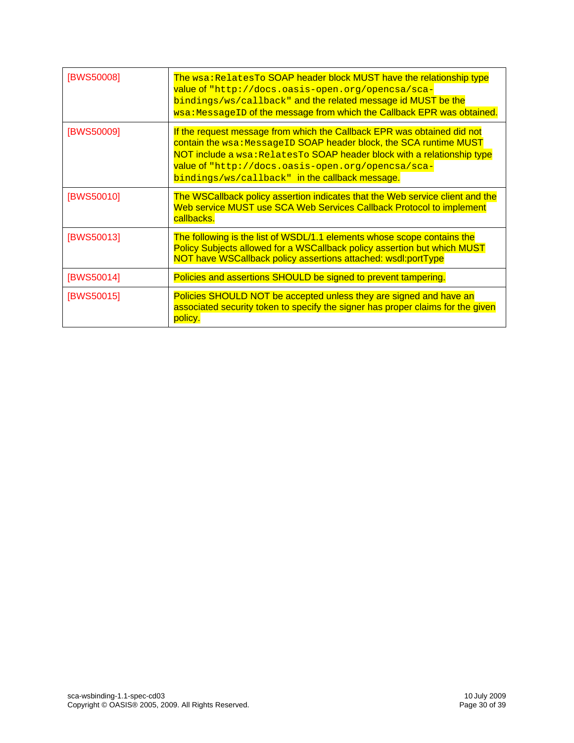<span id="page-29-5"></span><span id="page-29-4"></span><span id="page-29-3"></span><span id="page-29-2"></span><span id="page-29-1"></span><span id="page-29-0"></span>

| [BWS50008] | The wsa: Relates To SOAP header block MUST have the relationship type<br>value of "http://docs.oasis-open.org/opencsa/sca-<br>bindings/ws/callback" and the related message id MUST be the<br>wsa:MessageID of the message from which the Callback EPR was obtained.                                                             |
|------------|----------------------------------------------------------------------------------------------------------------------------------------------------------------------------------------------------------------------------------------------------------------------------------------------------------------------------------|
| [BWS50009] | If the request message from which the Callback EPR was obtained did not<br>contain the wsa: MessageID SOAP header block, the SCA runtime MUST<br>NOT include a wsa: Relates To SOAP header block with a relationship type<br>value of "http://docs.oasis-open.org/opencsa/sca-<br>bindings/ws/callback" in the callback message. |
| [BWS50010] | The WSCallback policy assertion indicates that the Web service client and the<br>Web service MUST use SCA Web Services Callback Protocol to implement<br>callbacks.                                                                                                                                                              |
| [BWS50013] | The following is the list of WSDL/1.1 elements whose scope contains the<br>Policy Subjects allowed for a WSCallback policy assertion but which MUST<br>NOT have WSCallback policy assertions attached: wsdl:portType                                                                                                             |
| [BWS50014] | Policies and assertions SHOULD be signed to prevent tampering.                                                                                                                                                                                                                                                                   |
| [BWS50015] | Policies SHOULD NOT be accepted unless they are signed and have an<br>associated security token to specify the signer has proper claims for the given<br>policy.                                                                                                                                                                 |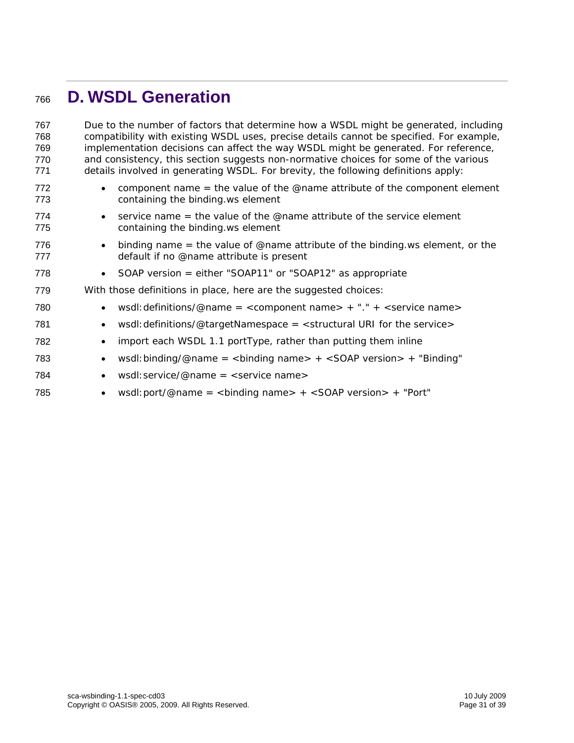### <span id="page-30-0"></span><sup>766</sup>**D. WSDL Generation**

| 767<br>768<br>769<br>770<br>771 | Due to the number of factors that determine how a WSDL might be generated, including<br>compatibility with existing WSDL uses, precise details cannot be specified. For example,<br>implementation decisions can affect the way WSDL might be generated. For reference,<br>and consistency, this section suggests non-normative choices for some of the various<br>details involved in generating WSDL. For brevity, the following definitions apply: |  |  |  |
|---------------------------------|-------------------------------------------------------------------------------------------------------------------------------------------------------------------------------------------------------------------------------------------------------------------------------------------------------------------------------------------------------------------------------------------------------------------------------------------------------|--|--|--|
| 772<br>773                      | component name $=$ the value of the @name attribute of the component element<br>containing the binding.ws element                                                                                                                                                                                                                                                                                                                                     |  |  |  |
| 774<br>775                      | service name $=$ the value of the @name attribute of the service element<br>containing the binding ws element                                                                                                                                                                                                                                                                                                                                         |  |  |  |
| 776<br>777                      | binding name $=$ the value of @name attribute of the binding ws element, or the<br>default if no @name attribute is present                                                                                                                                                                                                                                                                                                                           |  |  |  |
| 778                             | SOAP version = either "SOAP11" or "SOAP12" as appropriate                                                                                                                                                                                                                                                                                                                                                                                             |  |  |  |
| 779                             | With those definitions in place, here are the suggested choices:                                                                                                                                                                                                                                                                                                                                                                                      |  |  |  |
| 780                             | wsdl: definitions/@name = <component name=""> + "." + <service name=""></service></component>                                                                                                                                                                                                                                                                                                                                                         |  |  |  |
| 781                             | wsdl: definitions/@targetNamespace $=$ <structural for="" service="" the="" uri=""></structural>                                                                                                                                                                                                                                                                                                                                                      |  |  |  |
| 782                             | import each WSDL 1.1 portType, rather than putting them inline                                                                                                                                                                                                                                                                                                                                                                                        |  |  |  |
| 783                             | wsdl: binding/@name = $\lt$ binding name > $+$ $\lt$ SOAP version > $+$ "Binding"                                                                                                                                                                                                                                                                                                                                                                     |  |  |  |
| 784                             | wsdl:service/@name = <service name=""></service>                                                                                                                                                                                                                                                                                                                                                                                                      |  |  |  |
| 785                             | wsdl: port/@name =<br><br><br><br>sdl: port/@name =<br><br><br><br>SDAP version> + "Port"                                                                                                                                                                                                                                                                                                                                                             |  |  |  |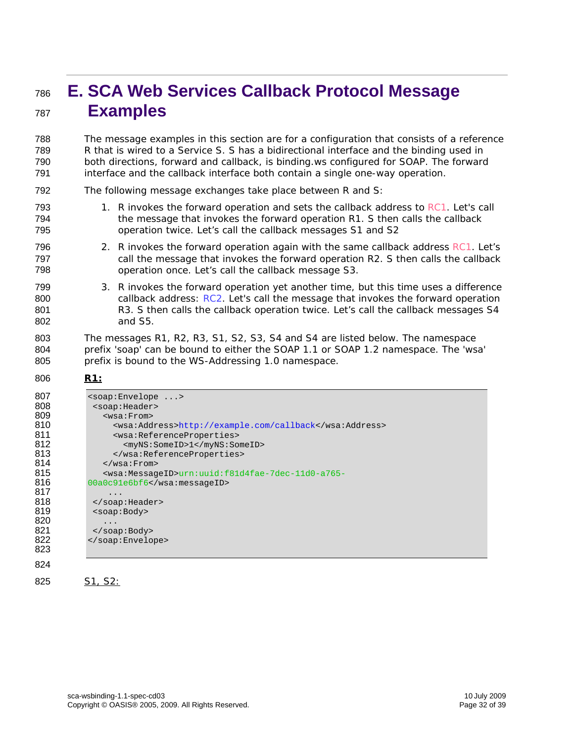### <span id="page-31-1"></span><span id="page-31-0"></span><sup>786</sup>**E. SCA Web Services Callback Protocol Message**  <sup>787</sup>**Examples**

788 789 790 791 The message examples in this section are for a configuration that consists of a reference R that is wired to a Service S. S has a bidirectional interface and the binding used in both directions, forward and callback, is binding.ws configured for SOAP. The forward interface and the callback interface both contain a single one-way operation.

#### 792 The following message exchanges take place between R and S:

- 1. R invokes the forward operation and sets the callback address to RC1. Let's call the message that invokes the forward operation R1. S then calls the callback operation twice. Let's call the callback messages S1 and S2
- 2. R invokes the forward operation again with the same callback address RC1. Let's call the message that invokes the forward operation R2. S then calls the callback operation once. Let's call the callback message S3.
- 799 800 801 802 3. R invokes the forward operation yet another time, but this time uses a difference callback address: RC2. Let's call the message that invokes the forward operation R3. S then calls the callback operation twice. Let's call the callback messages S4 and S5.
- 803 804 805 The messages R1, R2, R3, S1, S2, S3, S4 and S4 are listed below. The namespace prefix 'soap' can be bound to either the SOAP 1.1 or SOAP 1.2 namespace. The 'wsa' prefix is bound to the WS-Addressing 1.0 namespace.

#### 806 **R1:**

| 807 | $<$ soap:Envelope $\ldots$                                       |
|-----|------------------------------------------------------------------|
| 808 | <soap:header></soap:header>                                      |
| 809 | $<$ wsa: $From$                                                  |
| 810 | <wsa:address>http://example.com/callback</wsa:address>           |
| 811 | <wsa:referenceproperties></wsa:referenceproperties>              |
| 812 | <myns:someid>1</myns:someid>                                     |
| 813 |                                                                  |
| 814 | $\langle$ /wsa:From>                                             |
| 815 | <wsa:messaqeid>urn:uuid:f81d4fae-7dec-11d0-a765-</wsa:messaqeid> |
| 816 | $00a0c91e6bf6$                                                   |
| 817 | .                                                                |
| 818 |                                                                  |
| 819 | <soap:body></soap:body>                                          |
| 820 | .                                                                |
| 821 | $\langle$ soap: Body>                                            |
| 822 |                                                                  |
| 823 |                                                                  |
| 824 |                                                                  |
| 825 | S1. S2:                                                          |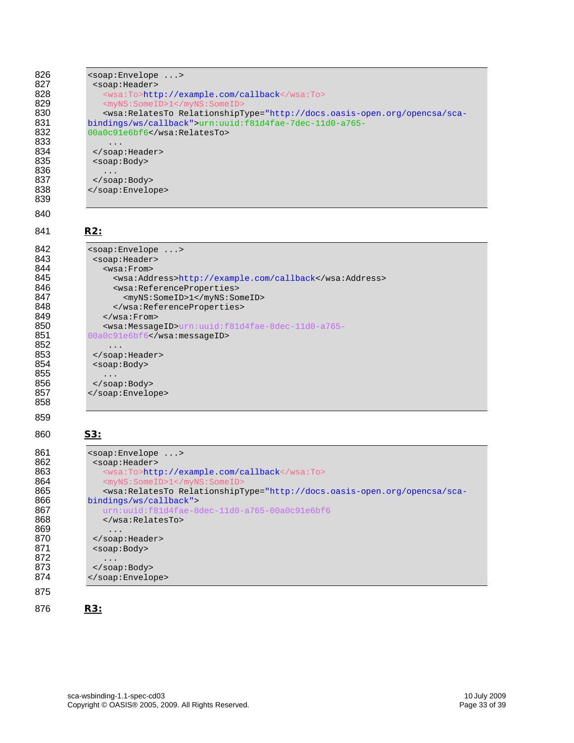| 826 | <soap:envelope></soap:envelope>                                                                                                                                                                                   |
|-----|-------------------------------------------------------------------------------------------------------------------------------------------------------------------------------------------------------------------|
| 827 | <soap:header></soap:header>                                                                                                                                                                                       |
| 828 | <wsa:to>http://example.com/callback</wsa:to>                                                                                                                                                                      |
| 829 | <myns:someid>1</myns:someid>                                                                                                                                                                                      |
| 830 | <wsa:relatesto relationshiptype="http://docs.oasis-open.org/opencsa/sca-&lt;/th&gt;&lt;/tr&gt;&lt;tr&gt;&lt;th&gt;831&lt;/th&gt;&lt;th&gt;bindings/ws/callback">urn:uuid:f81d4fae-7dec-11d0-a765-</wsa:relatesto> |
| 832 | 00a0c91e6bf6                                                                                                                                                                                                      |
| 833 | .                                                                                                                                                                                                                 |
| 834 |                                                                                                                                                                                                                   |
| 835 | $<$ soap:Body>                                                                                                                                                                                                    |
| 836 | $\ddotsc$                                                                                                                                                                                                         |
| 837 | $\langle$ soap: Body>                                                                                                                                                                                             |
| 838 |                                                                                                                                                                                                                   |
| 839 |                                                                                                                                                                                                                   |

#### **R2:**

826<br>827

842 <soap:Envelope ...><br>843 <soap:Header> 843 <soap:Header><br>844 <wsa:From> 844 <wsa:From><br>845 <wsa:Addi 845 <wsa:Address>[http://example.com/callback<](http://example.com/callback)/wsa:Address><br>846 <wsa:ReferenceProperties> 846 <wsa:ReferenceProperties><br>847 <wsns:SomeID>1</myNS:Som 847 <myNS:SomeID>1</myNS:SomeID>848 </wsa:ReferenceProperties> 848 </wsa:ReferenceProperties><br>849 </wsa:From> 849 </wsa:From><br>850 <wsa:Messag 850 <wsa:MessageID>urn:uuid:f81d4fae-8dec-11d0-a765-<br>851 00a0c91e6bf6</wsa:messageID> 00a0c91e6bf6</wsa:messageID> 852 ...<br>853 </soap 853 </soap:Header><br>854 <soap:Body> <soap:Body> ...<br>856 </soa 856 </soap:Body><br>857 </soap:Envelo </soap:Envelope>

#### **S3:**

 

| 861 | $<$ soap:Envelope $\ldots$ >                                                                                                                                                     |
|-----|----------------------------------------------------------------------------------------------------------------------------------------------------------------------------------|
| 862 | <soap:header></soap:header>                                                                                                                                                      |
| 863 | <wsa:to>http://example.com/callback</wsa:to>                                                                                                                                     |
| 864 | <myns:someid>1</myns:someid>                                                                                                                                                     |
| 865 | <wsa:relatesto relationshiptype="http://docs.oasis-open.org/opencsa/sca-&lt;/th&gt;&lt;/tr&gt;&lt;tr&gt;&lt;th&gt;866&lt;/th&gt;&lt;th&gt;bindings/ws/callback"></wsa:relatesto> |
| 867 | urn:uuid:f81d4fae-8dec-11d0-a765-00a0c91e6bf6                                                                                                                                    |
| 868 | $\langle$ /wsa:RelatesTo>                                                                                                                                                        |
| 869 | $\ddotsc$                                                                                                                                                                        |
| 870 |                                                                                                                                                                                  |
| 871 | <soap:body></soap:body>                                                                                                                                                          |
| 872 | .                                                                                                                                                                                |
| 873 | $\langle$ soap: Body>                                                                                                                                                            |
| 874 |                                                                                                                                                                                  |
| 875 |                                                                                                                                                                                  |

**R3:**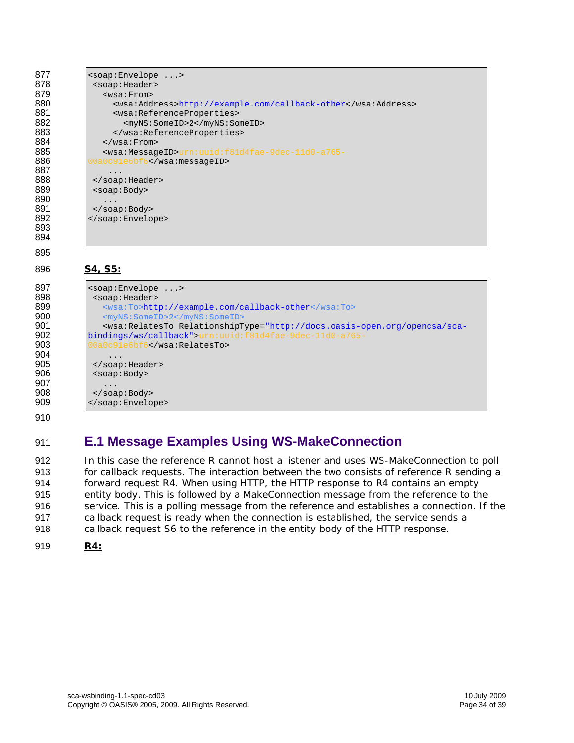<span id="page-33-0"></span>

| 877 | $<$ soap:Envelope $\ldots$ >                                     |
|-----|------------------------------------------------------------------|
| 878 | <soap:header></soap:header>                                      |
| 879 | $<$ wsa: $From$                                                  |
| 880 | <wsa:address>http://example.com/callback-other</wsa:address>     |
| 881 | <wsa:referenceproperties></wsa:referenceproperties>              |
| 882 | <myns:someid>2</myns:someid>                                     |
| 883 |                                                                  |
| 884 | $\langle$ /wsa:From>                                             |
| 885 | <wsa:messageid>urn:uuid:f81d4fae-9dec-11d0-a765-</wsa:messageid> |
| 886 | 00a0c91e6bf6                                                     |
| 887 | .                                                                |
| 888 |                                                                  |
| 889 | $<$ soap:Body>                                                   |
| 890 | .                                                                |
| 891 | $\langle$ soap: Body>                                            |
| 892 |                                                                  |
| 893 |                                                                  |
| 894 |                                                                  |

**S4, S5:**

```
897 <soap:Envelope ...><br>898 <soap:Header>
898 <soap:Header><br>899 <wsa:To>htt
899 http://example.com/callback-other</u> <w>was:TO>00 \leq_{myNS:SomeID>2</sup> <w>swNS:SomeID&gt;900 <myNS:SomeID>2</myNS:SomeID><br>901 <wsa:RelatesTo RelationshipT
901 <wsa:RelatesTo RelationshipType="http://docs.oasis-open.org/opencsa/sca-<br>902 bindings/ws/callback">urn:uuid:f81d4fae-9dec-11d0-a765-
902 bindings/ws/callback">urn:uuid:f81d4fae-9dec-11d0-a765<br>903 00a0c91e6bf6</wsa:RelatesTo>
                0a0c91e6bf6</wsa:RelatesTo>
904 ...<br>905 </soap
905 </soap:Header><br>906 <soap:Body>
                906 <soap:Body> 
907 ...<br>908 </soa
908 </soap:Body> 
               909 </soap:Envelope>
```
#### <span id="page-33-1"></span> **E.1 Message Examples Using WS-MakeConnection**

 In this case the reference R cannot host a listener and uses WS-MakeConnection to poll for callback requests. The interaction between the two consists of reference R sending a forward request R4. When using HTTP, the HTTP response to R4 contains an empty entity body. This is followed by a MakeConnection message from the reference to the service. This is a polling message from the reference and establishes a connection. If the callback request is ready when the connection is established, the service sends a callback request S6 to the reference in the entity body of the HTTP response.

**R4:**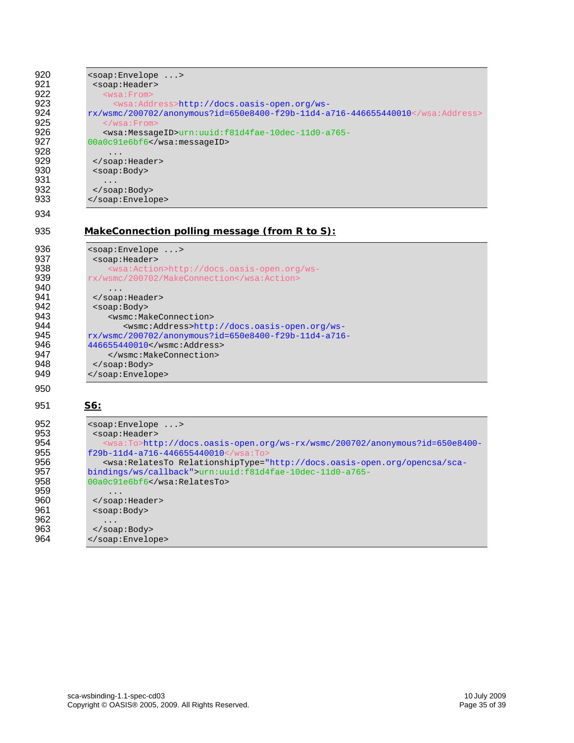| 920 | <soap:envelope></soap:envelope>                                     |
|-----|---------------------------------------------------------------------|
| 921 | <soap:header></soap:header>                                         |
| 922 | $<$ wsa: $From$                                                     |
| 923 | <wsa:address>http://docs.oasis-open.org/ws-</wsa:address>           |
| 924 | $rx/wsmc/200702/ano nymous?id=650e8400-f29b-11d4-a716-446655440010$ |
| 925 | $\langle$ /wsa:From>                                                |
| 926 | <wsa:messageid>urn:uuid:f81d4fae-10dec-11d0-a765-</wsa:messageid>   |
| 927 | $00a0c91e6bf6$                                                      |
| 928 | $\ddotsc$                                                           |
| 929 |                                                                     |
| 930 | <soap:body></soap:body>                                             |
| 931 | $\cdot$                                                             |
| 932 | $\langle$ soap: Body>                                               |
| 933 |                                                                     |

#### 

937<br>938

939<br>940

946<br>946<br>947<br>948

#### **MakeConnection polling message (from R to S):**

| 936 | $<$ soap:Envelope $\ldots$ >                                |
|-----|-------------------------------------------------------------|
| 937 | <soap:header></soap:header>                                 |
| 938 | <wsa:action>http://docs.oasis-open.org/ws-</wsa:action>     |
| 939 | rx/wsmc/200702/MakeConnection                               |
| 940 |                                                             |
| 941 |                                                             |
| 942 | <soap:body></soap:body>                                     |
| 943 | <wsmc:makeconnection></wsmc:makeconnection>                 |
| 944 | <wsmc:address>http://docs.oasis-open.org/ws-</wsmc:address> |
| 945 | $rx/wsmc/200702/annonymous?id=650e8400-f29b-11d4-a716-$     |
| 946 | 446655440010                                                |
| 947 |                                                             |
| 948 | $\langle$ soap: Body>                                       |
| 949 | $\epsilon$ /soan: Envelope>                                 |

#### **S6:**

| 952 | $<$ soap:Envelope $\ldots$ >                                                                                                                                                                                                                                   |
|-----|----------------------------------------------------------------------------------------------------------------------------------------------------------------------------------------------------------------------------------------------------------------|
| 953 | <soap:header></soap:header>                                                                                                                                                                                                                                    |
| 954 | <wsa:to>http://docs.oasis-open.org/ws-rx/wsmc/200702/anonymous?id=650e8400-</wsa:to>                                                                                                                                                                           |
| 955 | $f29b-11d4-a716-446655440010$                                                                                                                                                                                                                                  |
| 956 | <wsa:relatesto <="" math="" relationshiptype="http://docs.oasis-open.org/opencsa/sca-&lt;/th&gt;&lt;/tr&gt;&lt;tr&gt;&lt;th&gt;957&lt;/th&gt;&lt;th&gt;&lt;math&gt;binding/ws/callback"> &gt;urn: uuid: <math>f81d4fae-10dec-11d0-a765-</math></wsa:relatesto> |
| 958 | 00a0c91e6bf6                                                                                                                                                                                                                                                   |
| 959 | $\ddotsc$                                                                                                                                                                                                                                                      |
| 960 |                                                                                                                                                                                                                                                                |
| 961 | <soap:body></soap:body>                                                                                                                                                                                                                                        |
| 962 | $\cdot$                                                                                                                                                                                                                                                        |
| 963 | $\langle$ soap: Body>                                                                                                                                                                                                                                          |
| 964 |                                                                                                                                                                                                                                                                |
|     |                                                                                                                                                                                                                                                                |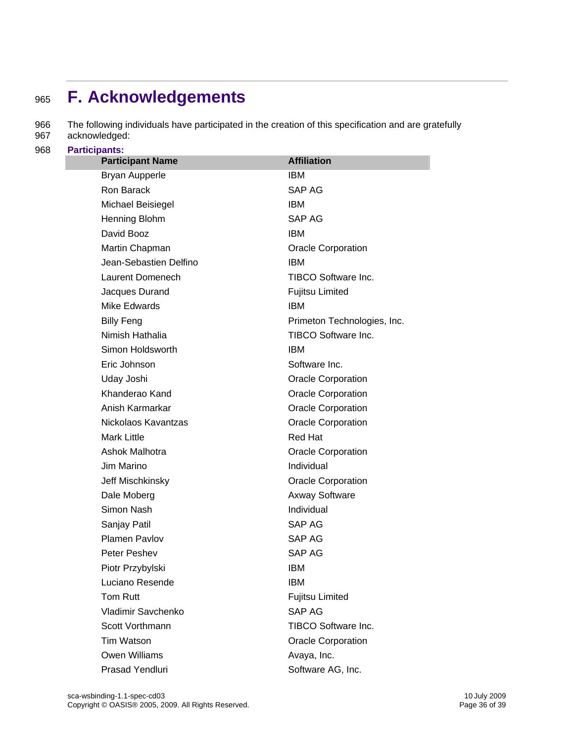# <span id="page-35-0"></span><sup>965</sup>**F. Acknowledgements**

966 The following individuals have participated in the creation of this specification and are gratefully<br>967 acknowledged: acknowledged:

#### 968 **Participants:**

| <b>Participant Name</b> | <b>Affiliation</b>          |
|-------------------------|-----------------------------|
| <b>Bryan Aupperle</b>   | <b>IBM</b>                  |
| Ron Barack              | SAP AG                      |
| Michael Beisiegel       | <b>IBM</b>                  |
| Henning Blohm           | SAP AG                      |
| David Booz              | <b>IBM</b>                  |
| Martin Chapman          | <b>Oracle Corporation</b>   |
| Jean-Sebastien Delfino  | <b>IBM</b>                  |
| <b>Laurent Domenech</b> | TIBCO Software Inc.         |
| Jacques Durand          | <b>Fujitsu Limited</b>      |
| <b>Mike Edwards</b>     | <b>IBM</b>                  |
| <b>Billy Feng</b>       | Primeton Technologies, Inc. |
| Nimish Hathalia         | TIBCO Software Inc.         |
| Simon Holdsworth        | <b>IBM</b>                  |
| Eric Johnson            | Software Inc.               |
| Uday Joshi              | <b>Oracle Corporation</b>   |
| Khanderao Kand          | <b>Oracle Corporation</b>   |
| Anish Karmarkar         | <b>Oracle Corporation</b>   |
| Nickolaos Kavantzas     | <b>Oracle Corporation</b>   |
| <b>Mark Little</b>      | Red Hat                     |
| Ashok Malhotra          | <b>Oracle Corporation</b>   |
| Jim Marino              | Individual                  |
| Jeff Mischkinsky        | <b>Oracle Corporation</b>   |
| Dale Moberg             | <b>Axway Software</b>       |
| Simon Nash              | Individual                  |
| Sanjay Patil            | SAP AG                      |
| Plamen Pavlov           | SAP AG                      |
| Peter Peshev            | SAP AG                      |
| Piotr Przybylski        | <b>IBM</b>                  |
| Luciano Resende         | <b>IBM</b>                  |
| Tom Rutt                | Fujitsu Limited             |
| Vladimir Savchenko      | <b>SAP AG</b>               |
| Scott Vorthmann         | <b>TIBCO Software Inc.</b>  |
| Tim Watson              | <b>Oracle Corporation</b>   |
| <b>Owen Williams</b>    | Avaya, Inc.                 |
| Prasad Yendluri         | Software AG, Inc.           |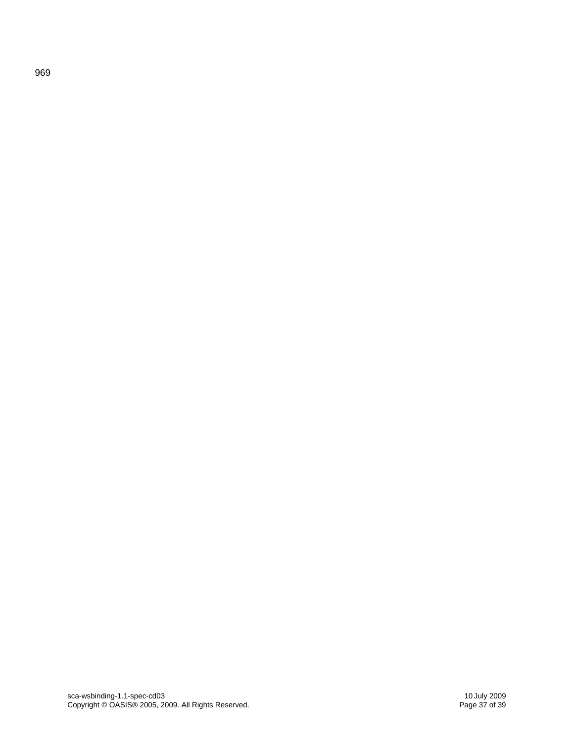969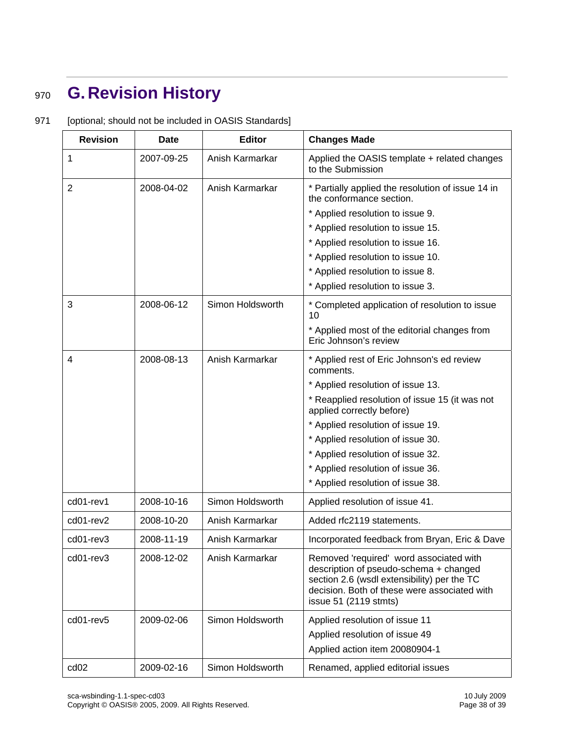# <span id="page-37-0"></span><sup>970</sup>**G. Revision History**

| <b>Revision</b>  | <b>Date</b> | <b>Editor</b>    | <b>Changes Made</b>                                                                                                                                                                                                                                                                                                                                                  |
|------------------|-------------|------------------|----------------------------------------------------------------------------------------------------------------------------------------------------------------------------------------------------------------------------------------------------------------------------------------------------------------------------------------------------------------------|
| 1                | 2007-09-25  | Anish Karmarkar  | Applied the OASIS template + related changes<br>to the Submission                                                                                                                                                                                                                                                                                                    |
| $\overline{2}$   | 2008-04-02  | Anish Karmarkar  | * Partially applied the resolution of issue 14 in<br>the conformance section.<br>* Applied resolution to issue 9.<br>* Applied resolution to issue 15.<br>* Applied resolution to issue 16.<br>* Applied resolution to issue 10.<br>* Applied resolution to issue 8.<br>* Applied resolution to issue 3.                                                             |
| 3                | 2008-06-12  | Simon Holdsworth | * Completed application of resolution to issue<br>10<br>* Applied most of the editorial changes from<br>Eric Johnson's review                                                                                                                                                                                                                                        |
| $\overline{4}$   | 2008-08-13  | Anish Karmarkar  | * Applied rest of Eric Johnson's ed review<br>comments.<br>* Applied resolution of issue 13.<br>* Reapplied resolution of issue 15 (it was not<br>applied correctly before)<br>* Applied resolution of issue 19.<br>* Applied resolution of issue 30.<br>* Applied resolution of issue 32.<br>* Applied resolution of issue 36.<br>* Applied resolution of issue 38. |
| cd01-rev1        | 2008-10-16  | Simon Holdsworth | Applied resolution of issue 41.                                                                                                                                                                                                                                                                                                                                      |
| cd01-rev2        | 2008-10-20  | Anish Karmarkar  | Added rfc2119 statements.                                                                                                                                                                                                                                                                                                                                            |
| cd01-rev3        | 2008-11-19  | Anish Karmarkar  | Incorporated feedback from Bryan, Eric & Dave                                                                                                                                                                                                                                                                                                                        |
| cd01-rev3        | 2008-12-02  | Anish Karmarkar  | Removed 'required' word associated with<br>description of pseudo-schema + changed<br>section 2.6 (wsdl extensibility) per the TC<br>decision. Both of these were associated with<br>issue 51 (2119 stmts)                                                                                                                                                            |
| cd01-rev5        | 2009-02-06  | Simon Holdsworth | Applied resolution of issue 11<br>Applied resolution of issue 49<br>Applied action item 20080904-1                                                                                                                                                                                                                                                                   |
| cd <sub>02</sub> | 2009-02-16  | Simon Holdsworth | Renamed, applied editorial issues                                                                                                                                                                                                                                                                                                                                    |

### 971 [optional; should not be included in OASIS Standards]